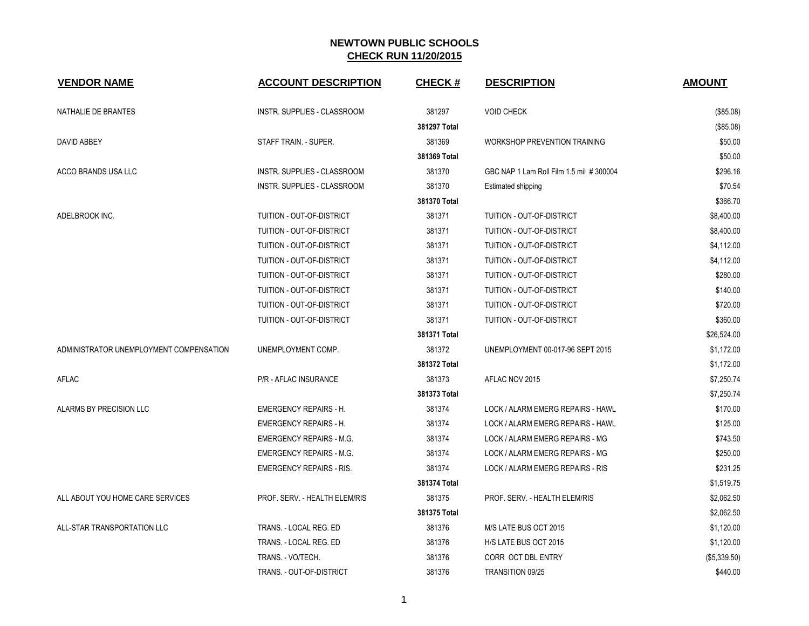| <b>VENDOR NAME</b>                      | <b>ACCOUNT DESCRIPTION</b>         | <b>CHECK#</b> | <b>DESCRIPTION</b>                      | <b>AMOUNT</b> |
|-----------------------------------------|------------------------------------|---------------|-----------------------------------------|---------------|
| NATHALIE DE BRANTES                     | INSTR. SUPPLIES - CLASSROOM        | 381297        | <b>VOID CHECK</b>                       | (\$85.08)     |
|                                         |                                    | 381297 Total  |                                         | (\$85.08)     |
| DAVID ABBEY                             | STAFF TRAIN. - SUPER.              | 381369        | <b>WORKSHOP PREVENTION TRAINING</b>     | \$50.00       |
|                                         |                                    | 381369 Total  |                                         | \$50.00       |
| ACCO BRANDS USA LLC                     | INSTR. SUPPLIES - CLASSROOM        | 381370        | GBC NAP 1 Lam Roll Film 1.5 mil #300004 | \$296.16      |
|                                         | <b>INSTR. SUPPLIES - CLASSROOM</b> | 381370        | Estimated shipping                      | \$70.54       |
|                                         |                                    | 381370 Total  |                                         | \$366.70      |
| ADELBROOK INC.                          | TUITION - OUT-OF-DISTRICT          | 381371        | TUITION - OUT-OF-DISTRICT               | \$8,400.00    |
|                                         | TUITION - OUT-OF-DISTRICT          | 381371        | TUITION - OUT-OF-DISTRICT               | \$8,400.00    |
|                                         | TUITION - OUT-OF-DISTRICT          | 381371        | TUITION - OUT-OF-DISTRICT               | \$4,112.00    |
|                                         | TUITION - OUT-OF-DISTRICT          | 381371        | TUITION - OUT-OF-DISTRICT               | \$4,112.00    |
|                                         | TUITION - OUT-OF-DISTRICT          | 381371        | TUITION - OUT-OF-DISTRICT               | \$280.00      |
|                                         | TUITION - OUT-OF-DISTRICT          | 381371        | TUITION - OUT-OF-DISTRICT               | \$140.00      |
|                                         | TUITION - OUT-OF-DISTRICT          | 381371        | TUITION - OUT-OF-DISTRICT               | \$720.00      |
|                                         | TUITION - OUT-OF-DISTRICT          | 381371        | TUITION - OUT-OF-DISTRICT               | \$360.00      |
|                                         |                                    | 381371 Total  |                                         | \$26,524.00   |
| ADMINISTRATOR UNEMPLOYMENT COMPENSATION | UNEMPLOYMENT COMP.                 | 381372        | UNEMPLOYMENT 00-017-96 SEPT 2015        | \$1,172.00    |
|                                         |                                    | 381372 Total  |                                         | \$1,172.00    |
| <b>AFLAC</b>                            | <b>P/R - AFLAC INSURANCE</b>       | 381373        | AFLAC NOV 2015                          | \$7,250.74    |
|                                         |                                    | 381373 Total  |                                         | \$7,250.74    |
| ALARMS BY PRECISION LLC                 | <b>EMERGENCY REPAIRS - H.</b>      | 381374        | LOCK / ALARM EMERG REPAIRS - HAWL       | \$170.00      |
|                                         | <b>EMERGENCY REPAIRS - H.</b>      | 381374        | LOCK / ALARM EMERG REPAIRS - HAWL       | \$125.00      |
|                                         | <b>EMERGENCY REPAIRS - M.G.</b>    | 381374        | LOCK / ALARM EMERG REPAIRS - MG         | \$743.50      |
|                                         | <b>EMERGENCY REPAIRS - M.G.</b>    | 381374        | LOCK / ALARM EMERG REPAIRS - MG         | \$250.00      |
|                                         | <b>EMERGENCY REPAIRS - RIS.</b>    | 381374        | LOCK / ALARM EMERG REPAIRS - RIS        | \$231.25      |
|                                         |                                    | 381374 Total  |                                         | \$1,519.75    |
| ALL ABOUT YOU HOME CARE SERVICES        | PROF. SERV. - HEALTH ELEM/RIS      | 381375        | PROF. SERV. - HEALTH ELEM/RIS           | \$2,062.50    |
|                                         |                                    | 381375 Total  |                                         | \$2,062.50    |
| ALL-STAR TRANSPORTATION LLC             | TRANS. - LOCAL REG. ED             | 381376        | M/S LATE BUS OCT 2015                   | \$1,120.00    |
|                                         | TRANS. - LOCAL REG. ED             | 381376        | H/S LATE BUS OCT 2015                   | \$1,120.00    |
|                                         | TRANS. - VO/TECH.                  | 381376        | CORR OCT DBL ENTRY                      | (\$5,339.50)  |
|                                         | TRANS. - OUT-OF-DISTRICT           | 381376        | TRANSITION 09/25                        | \$440.00      |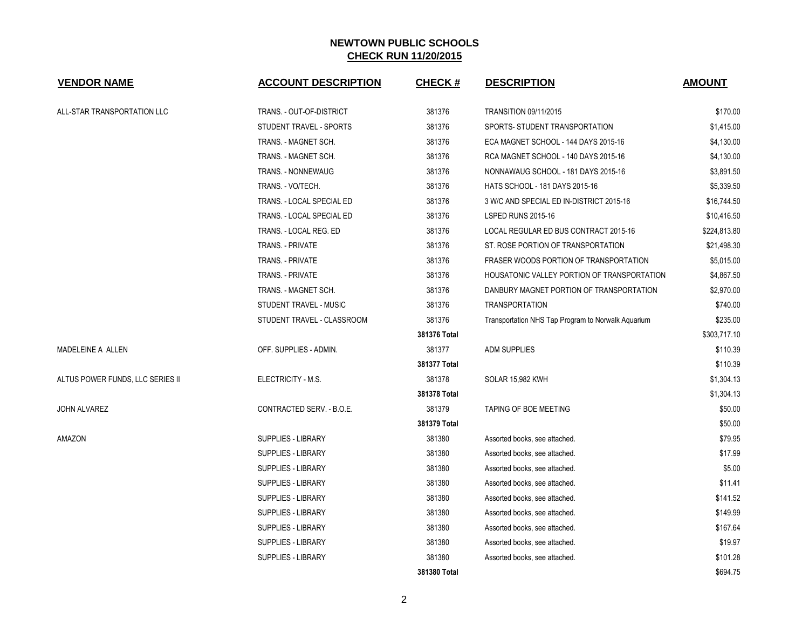| <b>VENDOR NAME</b>               | <b>ACCOUNT DESCRIPTION</b> | CHECK #      | <b>DESCRIPTION</b>                                 | <b>AMOUNT</b> |
|----------------------------------|----------------------------|--------------|----------------------------------------------------|---------------|
| ALL-STAR TRANSPORTATION LLC      | TRANS. - OUT-OF-DISTRICT   | 381376       | <b>TRANSITION 09/11/2015</b>                       | \$170.00      |
|                                  | STUDENT TRAVEL - SPORTS    | 381376       | SPORTS- STUDENT TRANSPORTATION                     | \$1,415.00    |
|                                  | TRANS. - MAGNET SCH.       | 381376       | ECA MAGNET SCHOOL - 144 DAYS 2015-16               | \$4,130.00    |
|                                  | TRANS. - MAGNET SCH.       | 381376       | RCA MAGNET SCHOOL - 140 DAYS 2015-16               | \$4,130.00    |
|                                  | TRANS. - NONNEWAUG         | 381376       | NONNAWAUG SCHOOL - 181 DAYS 2015-16                | \$3,891.50    |
|                                  | TRANS. - VO/TECH.          | 381376       | HATS SCHOOL - 181 DAYS 2015-16                     | \$5,339.50    |
|                                  | TRANS. - LOCAL SPECIAL ED  | 381376       | 3 W/C AND SPECIAL ED IN-DISTRICT 2015-16           | \$16,744.50   |
|                                  | TRANS. - LOCAL SPECIAL ED  | 381376       | LSPED RUNS 2015-16                                 | \$10,416.50   |
|                                  | TRANS. - LOCAL REG. ED     | 381376       | LOCAL REGULAR ED BUS CONTRACT 2015-16              | \$224,813.80  |
|                                  | TRANS. - PRIVATE           | 381376       | ST. ROSE PORTION OF TRANSPORTATION                 | \$21,498.30   |
|                                  | <b>TRANS. - PRIVATE</b>    | 381376       | FRASER WOODS PORTION OF TRANSPORTATION             | \$5,015.00    |
|                                  | <b>TRANS. - PRIVATE</b>    | 381376       | HOUSATONIC VALLEY PORTION OF TRANSPORTATION        | \$4,867.50    |
|                                  | TRANS. - MAGNET SCH.       | 381376       | DANBURY MAGNET PORTION OF TRANSPORTATION           | \$2,970.00    |
|                                  | STUDENT TRAVEL - MUSIC     | 381376       | <b>TRANSPORTATION</b>                              | \$740.00      |
|                                  | STUDENT TRAVEL - CLASSROOM | 381376       | Transportation NHS Tap Program to Norwalk Aquarium | \$235.00      |
|                                  |                            | 381376 Total |                                                    | \$303,717.10  |
| MADELEINE A ALLEN                | OFF. SUPPLIES - ADMIN.     | 381377       | ADM SUPPLIES                                       | \$110.39      |
|                                  |                            | 381377 Total |                                                    | \$110.39      |
| ALTUS POWER FUNDS, LLC SERIES II | ELECTRICITY - M.S.         | 381378       | <b>SOLAR 15,982 KWH</b>                            | \$1,304.13    |
|                                  |                            | 381378 Total |                                                    | \$1,304.13    |
| JOHN ALVAREZ                     | CONTRACTED SERV. - B.O.E.  | 381379       | TAPING OF BOE MEETING                              | \$50.00       |
|                                  |                            | 381379 Total |                                                    | \$50.00       |
| AMAZON                           | SUPPLIES - LIBRARY         | 381380       | Assorted books, see attached.                      | \$79.95       |
|                                  | SUPPLIES - LIBRARY         | 381380       | Assorted books, see attached.                      | \$17.99       |
|                                  | SUPPLIES - LIBRARY         | 381380       | Assorted books, see attached.                      | \$5.00        |
|                                  | SUPPLIES - LIBRARY         | 381380       | Assorted books, see attached.                      | \$11.41       |
|                                  | SUPPLIES - LIBRARY         | 381380       | Assorted books, see attached.                      | \$141.52      |
|                                  | SUPPLIES - LIBRARY         | 381380       | Assorted books, see attached.                      | \$149.99      |
|                                  | SUPPLIES - LIBRARY         | 381380       | Assorted books, see attached.                      | \$167.64      |
|                                  | SUPPLIES - LIBRARY         | 381380       | Assorted books, see attached.                      | \$19.97       |
|                                  | <b>SUPPLIES - LIBRARY</b>  | 381380       | Assorted books, see attached.                      | \$101.28      |
|                                  |                            | 381380 Total |                                                    | \$694.75      |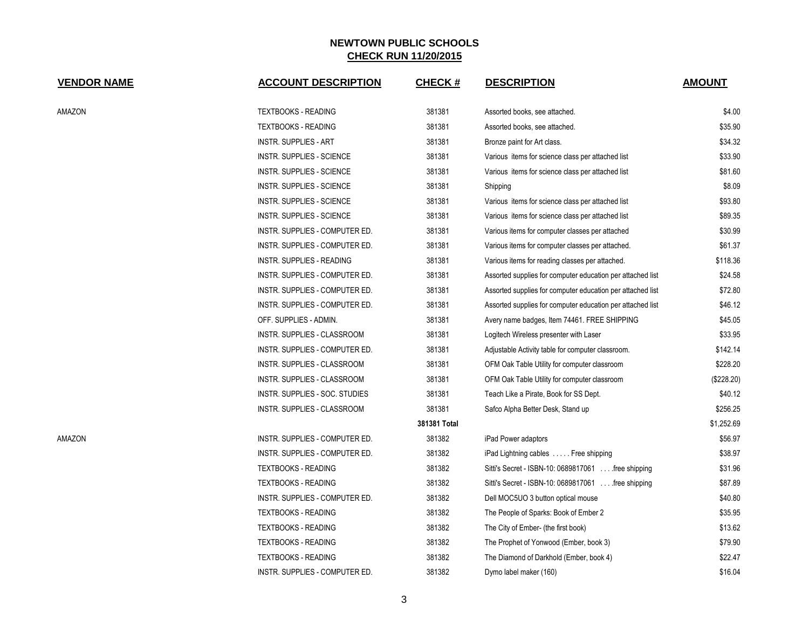| <b>VENDOR NAME</b> | <b>ACCOUNT DESCRIPTION</b>         | <b>CHECK#</b> | <b>DESCRIPTION</b>                                         | <b>AMOUNT</b> |
|--------------------|------------------------------------|---------------|------------------------------------------------------------|---------------|
| AMAZON             | <b>TEXTBOOKS - READING</b>         | 381381        | Assorted books, see attached.                              | \$4.00        |
|                    | <b>TEXTBOOKS - READING</b>         | 381381        | Assorted books, see attached.                              | \$35.90       |
|                    | <b>INSTR. SUPPLIES - ART</b>       | 381381        | Bronze paint for Art class.                                | \$34.32       |
|                    | INSTR. SUPPLIES - SCIENCE          | 381381        | Various items for science class per attached list          | \$33.90       |
|                    | INSTR. SUPPLIES - SCIENCE          | 381381        | Various items for science class per attached list          | \$81.60       |
|                    | <b>INSTR. SUPPLIES - SCIENCE</b>   | 381381        | Shipping                                                   | \$8.09        |
|                    | INSTR. SUPPLIES - SCIENCE          | 381381        | Various items for science class per attached list          | \$93.80       |
|                    | <b>INSTR. SUPPLIES - SCIENCE</b>   | 381381        | Various items for science class per attached list          | \$89.35       |
|                    | INSTR. SUPPLIES - COMPUTER ED.     | 381381        | Various items for computer classes per attached            | \$30.99       |
|                    | INSTR. SUPPLIES - COMPUTER ED.     | 381381        | Various items for computer classes per attached.           | \$61.37       |
|                    | INSTR. SUPPLIES - READING          | 381381        | Various items for reading classes per attached.            | \$118.36      |
|                    | INSTR. SUPPLIES - COMPUTER ED.     | 381381        | Assorted supplies for computer education per attached list | \$24.58       |
|                    | INSTR. SUPPLIES - COMPUTER ED.     | 381381        | Assorted supplies for computer education per attached list | \$72.80       |
|                    | INSTR. SUPPLIES - COMPUTER ED.     | 381381        | Assorted supplies for computer education per attached list | \$46.12       |
|                    | OFF. SUPPLIES - ADMIN.             | 381381        | Avery name badges, Item 74461. FREE SHIPPING               | \$45.05       |
|                    | <b>INSTR. SUPPLIES - CLASSROOM</b> | 381381        | Logitech Wireless presenter with Laser                     | \$33.95       |
|                    | INSTR. SUPPLIES - COMPUTER ED.     | 381381        | Adjustable Activity table for computer classroom.          | \$142.14      |
|                    | INSTR. SUPPLIES - CLASSROOM        | 381381        | OFM Oak Table Utility for computer classroom               | \$228.20      |
|                    | INSTR. SUPPLIES - CLASSROOM        | 381381        | OFM Oak Table Utility for computer classroom               | (\$228.20)    |
|                    | INSTR. SUPPLIES - SOC. STUDIES     | 381381        | Teach Like a Pirate, Book for SS Dept.                     | \$40.12       |
|                    | INSTR. SUPPLIES - CLASSROOM        | 381381        | Safco Alpha Better Desk, Stand up                          | \$256.25      |
|                    |                                    | 381381 Total  |                                                            | \$1,252.69    |
| AMAZON             | INSTR. SUPPLIES - COMPUTER ED.     | 381382        | iPad Power adaptors                                        | \$56.97       |
|                    | INSTR. SUPPLIES - COMPUTER ED.     | 381382        | iPad Lightning cables  Free shipping                       | \$38.97       |
|                    | <b>TEXTBOOKS - READING</b>         | 381382        | Sitti's Secret - ISBN-10: 0689817061 free shipping         | \$31.96       |
|                    | <b>TEXTBOOKS - READING</b>         | 381382        | Sitti's Secret - ISBN-10: 0689817061 free shipping         | \$87.89       |
|                    | INSTR. SUPPLIES - COMPUTER ED.     | 381382        | Dell MOC5UO 3 button optical mouse                         | \$40.80       |
|                    | <b>TEXTBOOKS - READING</b>         | 381382        | The People of Sparks: Book of Ember 2                      | \$35.95       |
|                    | <b>TEXTBOOKS - READING</b>         | 381382        | The City of Ember- (the first book)                        | \$13.62       |
|                    | <b>TEXTBOOKS - READING</b>         | 381382        | The Prophet of Yonwood (Ember, book 3)                     | \$79.90       |
|                    | <b>TEXTBOOKS - READING</b>         | 381382        | The Diamond of Darkhold (Ember, book 4)                    | \$22.47       |
|                    | INSTR. SUPPLIES - COMPUTER ED.     | 381382        | Dymo label maker (160)                                     | \$16.04       |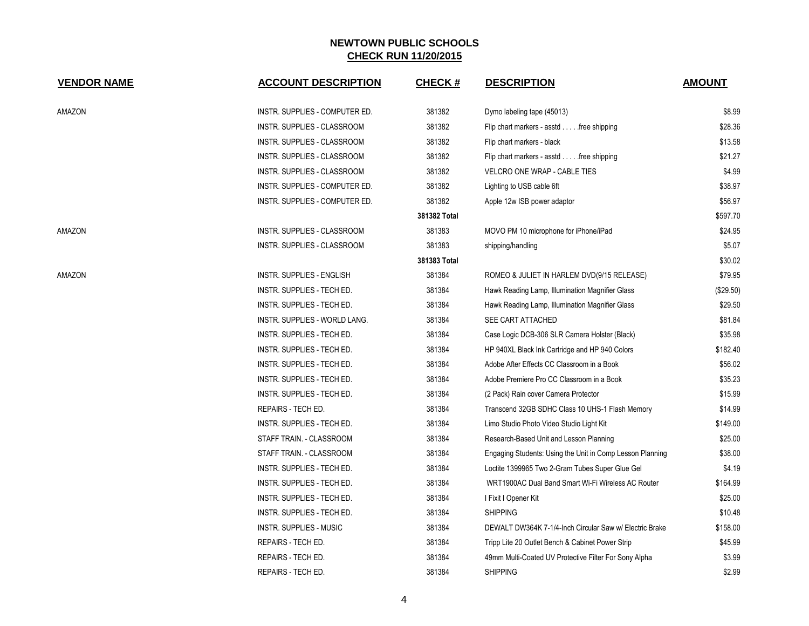| <b>VENDOR NAME</b> | <b>ACCOUNT DESCRIPTION</b>        | <b>CHECK#</b> | <b>DESCRIPTION</b>                                        | <b>AMOUNT</b> |
|--------------------|-----------------------------------|---------------|-----------------------------------------------------------|---------------|
| AMAZON             | INSTR. SUPPLIES - COMPUTER ED.    | 381382        | Dymo labeling tape (45013)                                | \$8.99        |
|                    | INSTR. SUPPLIES - CLASSROOM       | 381382        | Flip chart markers - asstd free shipping                  | \$28.36       |
|                    | INSTR. SUPPLIES - CLASSROOM       | 381382        | Flip chart markers - black                                | \$13.58       |
|                    | INSTR. SUPPLIES - CLASSROOM       | 381382        | Flip chart markers - asstd free shipping                  | \$21.27       |
|                    | INSTR. SUPPLIES - CLASSROOM       | 381382        | VELCRO ONE WRAP - CABLE TIES                              | \$4.99        |
|                    | INSTR. SUPPLIES - COMPUTER ED.    | 381382        | Lighting to USB cable 6ft                                 | \$38.97       |
|                    | INSTR. SUPPLIES - COMPUTER ED.    | 381382        | Apple 12w ISB power adaptor                               | \$56.97       |
|                    |                                   | 381382 Total  |                                                           | \$597.70      |
| AMAZON             | INSTR. SUPPLIES - CLASSROOM       | 381383        | MOVO PM 10 microphone for iPhone/iPad                     | \$24.95       |
|                    | INSTR. SUPPLIES - CLASSROOM       | 381383        | shipping/handling                                         | \$5.07        |
|                    |                                   | 381383 Total  |                                                           | \$30.02       |
| AMAZON             | <b>INSTR. SUPPLIES - ENGLISH</b>  | 381384        | ROMEO & JULIET IN HARLEM DVD(9/15 RELEASE)                | \$79.95       |
|                    | INSTR. SUPPLIES - TECH ED.        | 381384        | Hawk Reading Lamp, Illumination Magnifier Glass           | $(\$29.50)$   |
|                    | INSTR. SUPPLIES - TECH ED.        | 381384        | Hawk Reading Lamp, Illumination Magnifier Glass           | \$29.50       |
|                    | INSTR. SUPPLIES - WORLD LANG.     | 381384        | SEE CART ATTACHED                                         | \$81.84       |
|                    | INSTR. SUPPLIES - TECH ED.        | 381384        | Case Logic DCB-306 SLR Camera Holster (Black)             | \$35.98       |
|                    | <b>INSTR. SUPPLIES - TECH ED.</b> | 381384        | HP 940XL Black Ink Cartridge and HP 940 Colors            | \$182.40      |
|                    | INSTR. SUPPLIES - TECH ED.        | 381384        | Adobe After Effects CC Classroom in a Book                | \$56.02       |
|                    | INSTR. SUPPLIES - TECH ED.        | 381384        | Adobe Premiere Pro CC Classroom in a Book                 | \$35.23       |
|                    | INSTR. SUPPLIES - TECH ED.        | 381384        | (2 Pack) Rain cover Camera Protector                      | \$15.99       |
|                    | REPAIRS - TECH ED.                | 381384        | Transcend 32GB SDHC Class 10 UHS-1 Flash Memory           | \$14.99       |
|                    | INSTR. SUPPLIES - TECH ED.        | 381384        | Limo Studio Photo Video Studio Light Kit                  | \$149.00      |
|                    | STAFF TRAIN. - CLASSROOM          | 381384        | Research-Based Unit and Lesson Planning                   | \$25.00       |
|                    | STAFF TRAIN. - CLASSROOM          | 381384        | Engaging Students: Using the Unit in Comp Lesson Planning | \$38.00       |
|                    | INSTR. SUPPLIES - TECH ED.        | 381384        | Loctite 1399965 Two 2-Gram Tubes Super Glue Gel           | \$4.19        |
|                    | INSTR. SUPPLIES - TECH ED.        | 381384        | WRT1900AC Dual Band Smart Wi-Fi Wireless AC Router        | \$164.99      |
|                    | INSTR. SUPPLIES - TECH ED.        | 381384        | I Fixit I Opener Kit                                      | \$25.00       |
|                    | INSTR. SUPPLIES - TECH ED.        | 381384        | <b>SHIPPING</b>                                           | \$10.48       |
|                    | <b>INSTR. SUPPLIES - MUSIC</b>    | 381384        | DEWALT DW364K 7-1/4-Inch Circular Saw w/ Electric Brake   | \$158.00      |
|                    | <b>REPAIRS - TECH ED.</b>         | 381384        | Tripp Lite 20 Outlet Bench & Cabinet Power Strip          | \$45.99       |
|                    | REPAIRS - TECH ED.                | 381384        | 49mm Multi-Coated UV Protective Filter For Sony Alpha     | \$3.99        |
|                    | <b>REPAIRS - TECH ED.</b>         | 381384        | <b>SHIPPING</b>                                           | \$2.99        |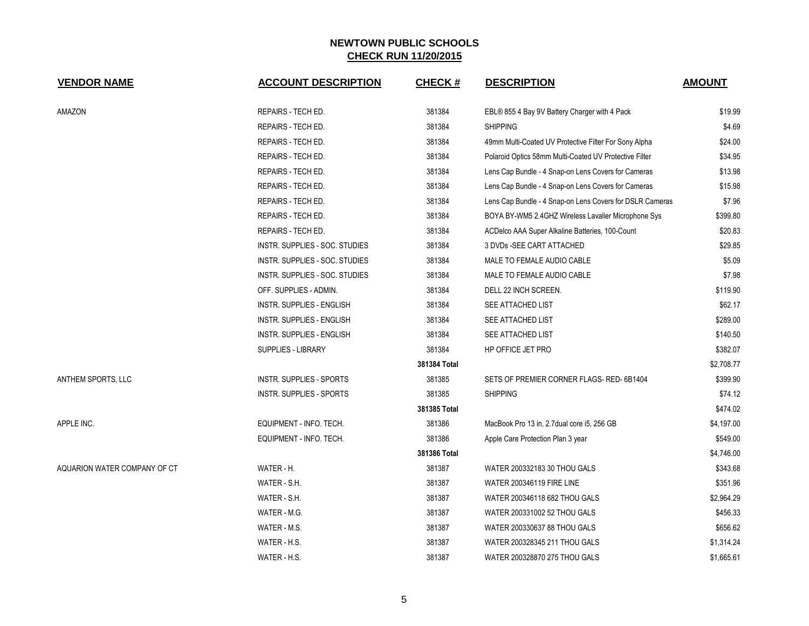| <b>VENDOR NAME</b>           | <b>ACCOUNT DESCRIPTION</b>       | <b>CHECK#</b> | <b>DESCRIPTION</b>                                       | <b>AMOUNT</b> |
|------------------------------|----------------------------------|---------------|----------------------------------------------------------|---------------|
| AMAZON                       | REPAIRS - TECH ED.               | 381384        | EBL® 855 4 Bay 9V Battery Charger with 4 Pack            | \$19.99       |
|                              | REPAIRS - TECH ED.               | 381384        | <b>SHIPPING</b>                                          | \$4.69        |
|                              | REPAIRS - TECH ED.               | 381384        | 49mm Multi-Coated UV Protective Filter For Sony Alpha    | \$24.00       |
|                              | REPAIRS - TECH ED.               | 381384        | Polaroid Optics 58mm Multi-Coated UV Protective Filter   | \$34.95       |
|                              | REPAIRS - TECH ED.               | 381384        | Lens Cap Bundle - 4 Snap-on Lens Covers for Cameras      | \$13.98       |
|                              | REPAIRS - TECH ED.               | 381384        | Lens Cap Bundle - 4 Snap-on Lens Covers for Cameras      | \$15.98       |
|                              | REPAIRS - TECH ED.               | 381384        | Lens Cap Bundle - 4 Snap-on Lens Covers for DSLR Cameras | \$7.96        |
|                              | REPAIRS - TECH ED.               | 381384        | BOYA BY-WM5 2.4GHZ Wireless Lavalier Microphone Sys      | \$399.80      |
|                              | REPAIRS - TECH ED.               | 381384        | ACDelco AAA Super Alkaline Batteries, 100-Count          | \$20.83       |
|                              | INSTR. SUPPLIES - SOC. STUDIES   | 381384        | 3 DVDs - SEE CART ATTACHED                               | \$29.85       |
|                              | INSTR. SUPPLIES - SOC. STUDIES   | 381384        | MALE TO FEMALE AUDIO CABLE                               | \$5.09        |
|                              | INSTR. SUPPLIES - SOC. STUDIES   | 381384        | MALE TO FEMALE AUDIO CABLE                               | \$7.98        |
|                              | OFF. SUPPLIES - ADMIN.           | 381384        | DELL 22 INCH SCREEN.                                     | \$119.90      |
|                              | INSTR. SUPPLIES - ENGLISH        | 381384        | SEE ATTACHED LIST                                        | \$62.17       |
|                              | <b>INSTR. SUPPLIES - ENGLISH</b> | 381384        | SEE ATTACHED LIST                                        | \$289.00      |
|                              | <b>INSTR. SUPPLIES - ENGLISH</b> | 381384        | SEE ATTACHED LIST                                        | \$140.50      |
|                              | <b>SUPPLIES - LIBRARY</b>        | 381384        | HP OFFICE JET PRO                                        | \$382.07      |
|                              |                                  | 381384 Total  |                                                          | \$2,708.77    |
| ANTHEM SPORTS, LLC           | <b>INSTR. SUPPLIES - SPORTS</b>  | 381385        | SETS OF PREMIER CORNER FLAGS- RED-6B1404                 | \$399.90      |
|                              | <b>INSTR. SUPPLIES - SPORTS</b>  | 381385        | <b>SHIPPING</b>                                          | \$74.12       |
|                              |                                  | 381385 Total  |                                                          | \$474.02      |
| APPLE INC.                   | EQUIPMENT - INFO. TECH.          | 381386        | MacBook Pro 13 in, 2.7dual core i5, 256 GB               | \$4,197.00    |
|                              | EQUIPMENT - INFO. TECH.          | 381386        | Apple Care Protection Plan 3 year                        | \$549.00      |
|                              |                                  | 381386 Total  |                                                          | \$4,746.00    |
| AQUARION WATER COMPANY OF CT | WATER - H.                       | 381387        | WATER 200332183 30 THOU GALS                             | \$343.68      |
|                              | WATER - S.H.                     | 381387        | <b>WATER 200346119 FIRE LINE</b>                         | \$351.96      |
|                              | WATER - S.H.                     | 381387        | WATER 200346118 682 THOU GALS                            | \$2,964.29    |
|                              | WATER - M.G.                     | 381387        | WATER 200331002 52 THOU GALS                             | \$456.33      |
|                              | WATER - M.S.                     | 381387        | WATER 200330637 88 THOU GALS                             | \$656.62      |
|                              | WATER - H.S.                     | 381387        | WATER 200328345 211 THOU GALS                            | \$1,314.24    |
|                              | WATER - H.S.                     | 381387        | WATER 200328870 275 THOU GALS                            | \$1,665.61    |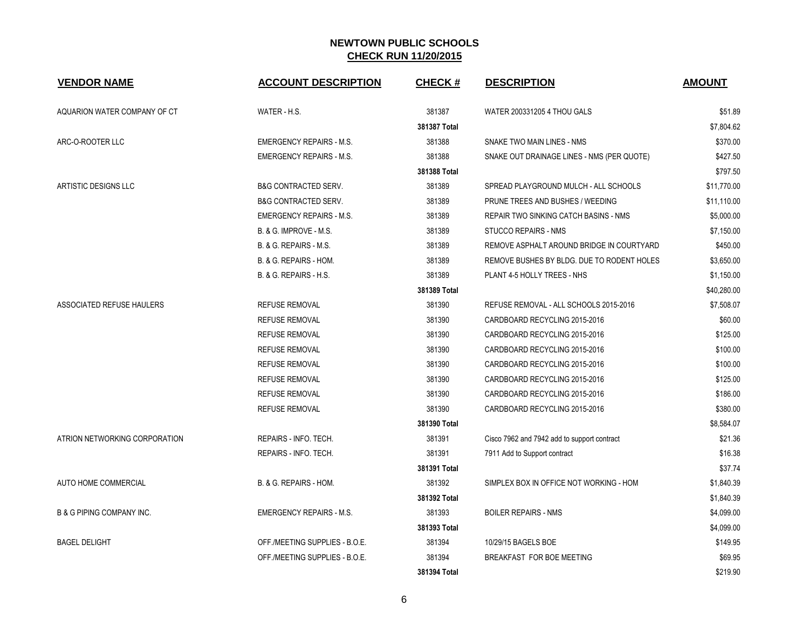| <b>VENDOR NAME</b>                   | <b>ACCOUNT DESCRIPTION</b>        | <b>CHECK#</b> | <b>DESCRIPTION</b>                          | <b>AMOUNT</b> |
|--------------------------------------|-----------------------------------|---------------|---------------------------------------------|---------------|
| AQUARION WATER COMPANY OF CT         | WATER - H.S.                      | 381387        | WATER 200331205 4 THOU GALS                 | \$51.89       |
|                                      |                                   | 381387 Total  |                                             | \$7,804.62    |
| ARC-O-ROOTER LLC                     | <b>EMERGENCY REPAIRS - M.S.</b>   | 381388        | SNAKE TWO MAIN LINES - NMS                  | \$370.00      |
|                                      | <b>EMERGENCY REPAIRS - M.S.</b>   | 381388        | SNAKE OUT DRAINAGE LINES - NMS (PER QUOTE)  | \$427.50      |
|                                      |                                   | 381388 Total  |                                             | \$797.50      |
| ARTISTIC DESIGNS LLC                 | <b>B&amp;G CONTRACTED SERV.</b>   | 381389        | SPREAD PLAYGROUND MULCH - ALL SCHOOLS       | \$11,770.00   |
|                                      | <b>B&amp;G CONTRACTED SERV.</b>   | 381389        | PRUNE TREES AND BUSHES / WEEDING            | \$11,110.00   |
|                                      | <b>EMERGENCY REPAIRS - M.S.</b>   | 381389        | REPAIR TWO SINKING CATCH BASINS - NMS       | \$5,000.00    |
|                                      | <b>B. &amp; G. IMPROVE - M.S.</b> | 381389        | <b>STUCCO REPAIRS - NMS</b>                 | \$7,150.00    |
|                                      | B. & G. REPAIRS - M.S.            | 381389        | REMOVE ASPHALT AROUND BRIDGE IN COURTYARD   | \$450.00      |
|                                      | B. & G. REPAIRS - HOM.            | 381389        | REMOVE BUSHES BY BLDG. DUE TO RODENT HOLES  | \$3,650.00    |
|                                      | B. & G. REPAIRS - H.S.            | 381389        | PLANT 4-5 HOLLY TREES - NHS                 | \$1,150.00    |
|                                      |                                   | 381389 Total  |                                             | \$40,280.00   |
| ASSOCIATED REFUSE HAULERS            | <b>REFUSE REMOVAL</b>             | 381390        | REFUSE REMOVAL - ALL SCHOOLS 2015-2016      | \$7,508.07    |
|                                      | <b>REFUSE REMOVAL</b>             | 381390        | CARDBOARD RECYCLING 2015-2016               | \$60.00       |
|                                      | <b>REFUSE REMOVAL</b>             | 381390        | CARDBOARD RECYCLING 2015-2016               | \$125.00      |
|                                      | <b>REFUSE REMOVAL</b>             | 381390        | CARDBOARD RECYCLING 2015-2016               | \$100.00      |
|                                      | <b>REFUSE REMOVAL</b>             | 381390        | CARDBOARD RECYCLING 2015-2016               | \$100.00      |
|                                      | <b>REFUSE REMOVAL</b>             | 381390        | CARDBOARD RECYCLING 2015-2016               | \$125.00      |
|                                      | <b>REFUSE REMOVAL</b>             | 381390        | CARDBOARD RECYCLING 2015-2016               | \$186.00      |
|                                      | <b>REFUSE REMOVAL</b>             | 381390        | CARDBOARD RECYCLING 2015-2016               | \$380.00      |
|                                      |                                   | 381390 Total  |                                             | \$8,584.07    |
| ATRION NETWORKING CORPORATION        | REPAIRS - INFO. TECH.             | 381391        | Cisco 7962 and 7942 add to support contract | \$21.36       |
|                                      | REPAIRS - INFO. TECH.             | 381391        | 7911 Add to Support contract                | \$16.38       |
|                                      |                                   | 381391 Total  |                                             | \$37.74       |
| AUTO HOME COMMERCIAL                 | B. & G. REPAIRS - HOM.            | 381392        | SIMPLEX BOX IN OFFICE NOT WORKING - HOM     | \$1,840.39    |
|                                      |                                   | 381392 Total  |                                             | \$1,840.39    |
| <b>B &amp; G PIPING COMPANY INC.</b> | <b>EMERGENCY REPAIRS - M.S.</b>   | 381393        | <b>BOILER REPAIRS - NMS</b>                 | \$4,099.00    |
|                                      |                                   | 381393 Total  |                                             | \$4,099.00    |
| <b>BAGEL DELIGHT</b>                 | OFF./MEETING SUPPLIES - B.O.E.    | 381394        | 10/29/15 BAGELS BOE                         | \$149.95      |
|                                      | OFF./MEETING SUPPLIES - B.O.E.    | 381394        | BREAKFAST FOR BOE MEETING                   | \$69.95       |
|                                      |                                   | 381394 Total  |                                             | \$219.90      |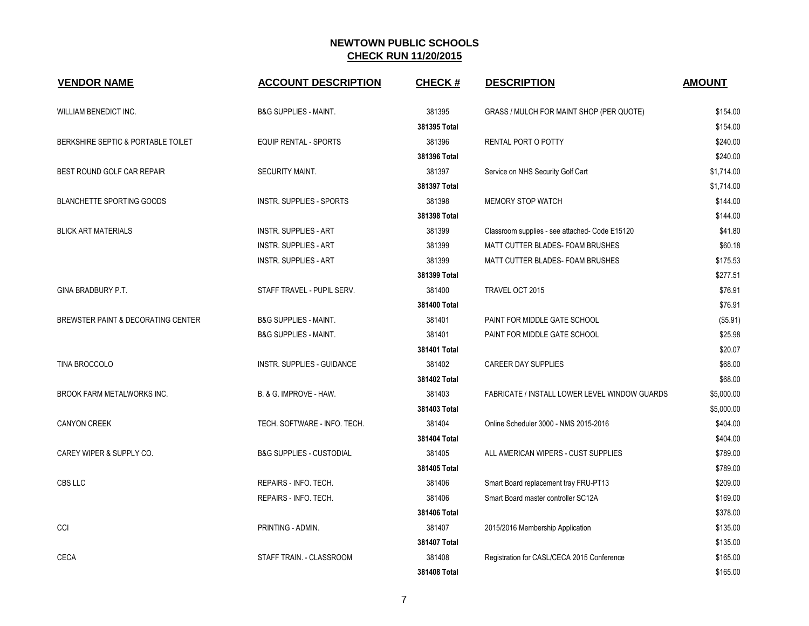| <b>VENDOR NAME</b>                 | <b>ACCOUNT DESCRIPTION</b>          | <b>CHECK#</b> | <b>DESCRIPTION</b>                             | <b>AMOUNT</b> |
|------------------------------------|-------------------------------------|---------------|------------------------------------------------|---------------|
| WILLIAM BENEDICT INC.              | <b>B&amp;G SUPPLIES - MAINT.</b>    | 381395        | GRASS / MULCH FOR MAINT SHOP (PER QUOTE)       | \$154.00      |
|                                    |                                     | 381395 Total  |                                                | \$154.00      |
| BERKSHIRE SEPTIC & PORTABLE TOILET | <b>EQUIP RENTAL - SPORTS</b>        | 381396        | RENTAL PORT O POTTY                            | \$240.00      |
|                                    |                                     | 381396 Total  |                                                | \$240.00      |
| BEST ROUND GOLF CAR REPAIR         | SECURITY MAINT.                     | 381397        | Service on NHS Security Golf Cart              | \$1,714.00    |
|                                    |                                     | 381397 Total  |                                                | \$1,714.00    |
| <b>BLANCHETTE SPORTING GOODS</b>   | <b>INSTR. SUPPLIES - SPORTS</b>     | 381398        | <b>MEMORY STOP WATCH</b>                       | \$144.00      |
|                                    |                                     | 381398 Total  |                                                | \$144.00      |
| <b>BLICK ART MATERIALS</b>         | <b>INSTR. SUPPLIES - ART</b>        | 381399        | Classroom supplies - see attached- Code E15120 | \$41.80       |
|                                    | <b>INSTR. SUPPLIES - ART</b>        | 381399        | MATT CUTTER BLADES- FOAM BRUSHES               | \$60.18       |
|                                    | <b>INSTR. SUPPLIES - ART</b>        | 381399        | MATT CUTTER BLADES- FOAM BRUSHES               | \$175.53      |
|                                    |                                     | 381399 Total  |                                                | \$277.51      |
| GINA BRADBURY P.T.                 | STAFF TRAVEL - PUPIL SERV.          | 381400        | TRAVEL OCT 2015                                | \$76.91       |
|                                    |                                     | 381400 Total  |                                                | \$76.91       |
| BREWSTER PAINT & DECORATING CENTER | <b>B&amp;G SUPPLIES - MAINT.</b>    | 381401        | PAINT FOR MIDDLE GATE SCHOOL                   | (\$5.91)      |
|                                    | <b>B&amp;G SUPPLIES - MAINT.</b>    | 381401        | PAINT FOR MIDDLE GATE SCHOOL                   | \$25.98       |
|                                    |                                     | 381401 Total  |                                                | \$20.07       |
| TINA BROCCOLO                      | INSTR. SUPPLIES - GUIDANCE          | 381402        | <b>CAREER DAY SUPPLIES</b>                     | \$68.00       |
|                                    |                                     | 381402 Total  |                                                | \$68.00       |
| <b>BROOK FARM METALWORKS INC.</b>  | B. & G. IMPROVE - HAW.              | 381403        | FABRICATE / INSTALL LOWER LEVEL WINDOW GUARDS  | \$5,000.00    |
|                                    |                                     | 381403 Total  |                                                | \$5,000.00    |
| <b>CANYON CREEK</b>                | TECH. SOFTWARE - INFO. TECH.        | 381404        | Online Scheduler 3000 - NMS 2015-2016          | \$404.00      |
|                                    |                                     | 381404 Total  |                                                | \$404.00      |
| CAREY WIPER & SUPPLY CO.           | <b>B&amp;G SUPPLIES - CUSTODIAL</b> | 381405        | ALL AMERICAN WIPERS - CUST SUPPLIES            | \$789.00      |
|                                    |                                     | 381405 Total  |                                                | \$789.00      |
| CBS LLC                            | REPAIRS - INFO. TECH.               | 381406        | Smart Board replacement tray FRU-PT13          | \$209.00      |
|                                    | REPAIRS - INFO. TECH.               | 381406        | Smart Board master controller SC12A            | \$169.00      |
|                                    |                                     | 381406 Total  |                                                | \$378.00      |
| CCI                                | PRINTING - ADMIN.                   | 381407        | 2015/2016 Membership Application               | \$135.00      |
|                                    |                                     | 381407 Total  |                                                | \$135.00      |
| <b>CECA</b>                        | STAFF TRAIN. - CLASSROOM            | 381408        | Registration for CASL/CECA 2015 Conference     | \$165.00      |
|                                    |                                     | 381408 Total  |                                                | \$165.00      |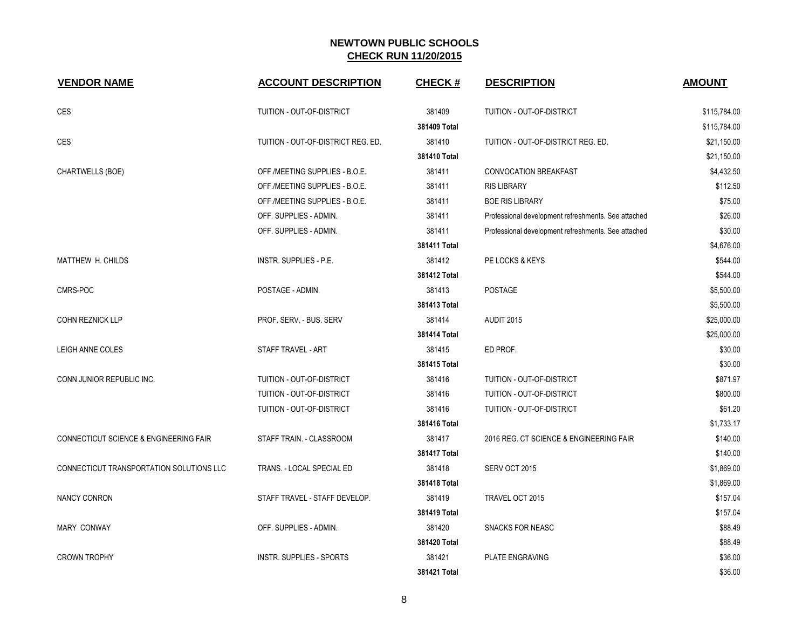| <b>VENDOR NAME</b>                       | <b>ACCOUNT DESCRIPTION</b>         | <b>CHECK#</b> | <b>DESCRIPTION</b>                                  | <b>AMOUNT</b> |
|------------------------------------------|------------------------------------|---------------|-----------------------------------------------------|---------------|
| <b>CES</b>                               | TUITION - OUT-OF-DISTRICT          | 381409        | TUITION - OUT-OF-DISTRICT                           | \$115,784.00  |
|                                          |                                    | 381409 Total  |                                                     | \$115,784.00  |
| <b>CES</b>                               | TUITION - OUT-OF-DISTRICT REG. ED. | 381410        | TUITION - OUT-OF-DISTRICT REG. ED.                  | \$21,150.00   |
|                                          |                                    | 381410 Total  |                                                     | \$21,150.00   |
| CHARTWELLS (BOE)                         | OFF./MEETING SUPPLIES - B.O.E.     | 381411        | CONVOCATION BREAKFAST                               | \$4,432.50    |
|                                          | OFF./MEETING SUPPLIES - B.O.E.     | 381411        | <b>RIS LIBRARY</b>                                  | \$112.50      |
|                                          | OFF./MEETING SUPPLIES - B.O.E.     | 381411        | <b>BOE RIS LIBRARY</b>                              | \$75.00       |
|                                          | OFF. SUPPLIES - ADMIN.             | 381411        | Professional development refreshments. See attached | \$26.00       |
|                                          | OFF. SUPPLIES - ADMIN.             | 381411        | Professional development refreshments. See attached | \$30.00       |
|                                          |                                    | 381411 Total  |                                                     | \$4,676.00    |
| <b>MATTHEW H. CHILDS</b>                 | INSTR. SUPPLIES - P.E.             | 381412        | PE LOCKS & KEYS                                     | \$544.00      |
|                                          |                                    | 381412 Total  |                                                     | \$544.00      |
| CMRS-POC                                 | POSTAGE - ADMIN.                   | 381413        | POSTAGE                                             | \$5,500.00    |
|                                          |                                    | 381413 Total  |                                                     | \$5,500.00    |
| COHN REZNICK LLP                         | PROF. SERV. - BUS. SERV            | 381414        | <b>AUDIT 2015</b>                                   | \$25,000.00   |
|                                          |                                    | 381414 Total  |                                                     | \$25,000.00   |
| LEIGH ANNE COLES                         | STAFF TRAVEL - ART                 | 381415        | ED PROF.                                            | \$30.00       |
|                                          |                                    | 381415 Total  |                                                     | \$30.00       |
| CONN JUNIOR REPUBLIC INC.                | TUITION - OUT-OF-DISTRICT          | 381416        | TUITION - OUT-OF-DISTRICT                           | \$871.97      |
|                                          | TUITION - OUT-OF-DISTRICT          | 381416        | TUITION - OUT-OF-DISTRICT                           | \$800.00      |
|                                          | TUITION - OUT-OF-DISTRICT          | 381416        | TUITION - OUT-OF-DISTRICT                           | \$61.20       |
|                                          |                                    | 381416 Total  |                                                     | \$1,733.17    |
| CONNECTICUT SCIENCE & ENGINEERING FAIR   | STAFF TRAIN. - CLASSROOM           | 381417        | 2016 REG. CT SCIENCE & ENGINEERING FAIR             | \$140.00      |
|                                          |                                    | 381417 Total  |                                                     | \$140.00      |
| CONNECTICUT TRANSPORTATION SOLUTIONS LLC | TRANS. - LOCAL SPECIAL ED          | 381418        | SERV OCT 2015                                       | \$1,869.00    |
|                                          |                                    | 381418 Total  |                                                     | \$1,869.00    |
| NANCY CONRON                             | STAFF TRAVEL - STAFF DEVELOP.      | 381419        | TRAVEL OCT 2015                                     | \$157.04      |
|                                          |                                    | 381419 Total  |                                                     | \$157.04      |
| <b>MARY CONWAY</b>                       | OFF. SUPPLIES - ADMIN.             | 381420        | <b>SNACKS FOR NEASC</b>                             | \$88.49       |
|                                          |                                    | 381420 Total  |                                                     | \$88.49       |
| <b>CROWN TROPHY</b>                      | <b>INSTR. SUPPLIES - SPORTS</b>    | 381421        | PLATE ENGRAVING                                     | \$36.00       |
|                                          |                                    | 381421 Total  |                                                     | \$36.00       |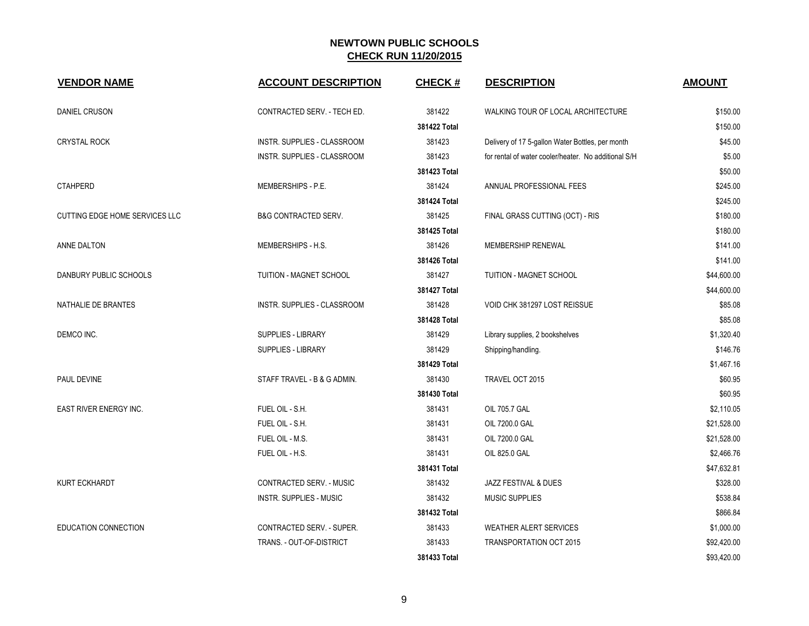| <b>VENDOR NAME</b>                    | <b>ACCOUNT DESCRIPTION</b>      | <b>CHECK#</b> | <b>DESCRIPTION</b>                                   | <b>AMOUNT</b> |
|---------------------------------------|---------------------------------|---------------|------------------------------------------------------|---------------|
| <b>DANIEL CRUSON</b>                  | CONTRACTED SERV. - TECH ED.     | 381422        | WALKING TOUR OF LOCAL ARCHITECTURE                   | \$150.00      |
|                                       |                                 | 381422 Total  |                                                      | \$150.00      |
| <b>CRYSTAL ROCK</b>                   | INSTR. SUPPLIES - CLASSROOM     | 381423        | Delivery of 17 5-gallon Water Bottles, per month     | \$45.00       |
|                                       | INSTR. SUPPLIES - CLASSROOM     | 381423        | for rental of water cooler/heater. No additional S/H | \$5.00        |
|                                       |                                 | 381423 Total  |                                                      | \$50.00       |
| <b>CTAHPERD</b>                       | MEMBERSHIPS - P.E.              | 381424        | ANNUAL PROFESSIONAL FEES                             | \$245.00      |
|                                       |                                 | 381424 Total  |                                                      | \$245.00      |
| <b>CUTTING EDGE HOME SERVICES LLC</b> | <b>B&amp;G CONTRACTED SERV.</b> | 381425        | FINAL GRASS CUTTING (OCT) - RIS                      | \$180.00      |
|                                       |                                 | 381425 Total  |                                                      | \$180.00      |
| ANNE DALTON                           | MEMBERSHIPS - H.S.              | 381426        | MEMBERSHIP RENEWAL                                   | \$141.00      |
|                                       |                                 | 381426 Total  |                                                      | \$141.00      |
| DANBURY PUBLIC SCHOOLS                | TUITION - MAGNET SCHOOL         | 381427        | TUITION - MAGNET SCHOOL                              | \$44,600.00   |
|                                       |                                 | 381427 Total  |                                                      | \$44,600.00   |
| NATHALIE DE BRANTES                   | INSTR. SUPPLIES - CLASSROOM     | 381428        | VOID CHK 381297 LOST REISSUE                         | \$85.08       |
|                                       |                                 | 381428 Total  |                                                      | \$85.08       |
| DEMCO INC.                            | SUPPLIES - LIBRARY              | 381429        | Library supplies, 2 bookshelves                      | \$1,320.40    |
|                                       | SUPPLIES - LIBRARY              | 381429        | Shipping/handling.                                   | \$146.76      |
|                                       |                                 | 381429 Total  |                                                      | \$1,467.16    |
| PAUL DEVINE                           | STAFF TRAVEL - B & G ADMIN.     | 381430        | TRAVEL OCT 2015                                      | \$60.95       |
|                                       |                                 | 381430 Total  |                                                      | \$60.95       |
| EAST RIVER ENERGY INC.                | FUEL OIL - S.H.                 | 381431        | OIL 705.7 GAL                                        | \$2,110.05    |
|                                       | FUEL OIL - S.H.                 | 381431        | OIL 7200.0 GAL                                       | \$21,528.00   |
|                                       | FUEL OIL - M.S.                 | 381431        | OIL 7200.0 GAL                                       | \$21,528.00   |
|                                       | FUEL OIL - H.S.                 | 381431        | OIL 825.0 GAL                                        | \$2,466.76    |
|                                       |                                 | 381431 Total  |                                                      | \$47,632.81   |
| <b>KURT ECKHARDT</b>                  | CONTRACTED SERV. - MUSIC        | 381432        | JAZZ FESTIVAL & DUES                                 | \$328.00      |
|                                       | <b>INSTR. SUPPLIES - MUSIC</b>  | 381432        | <b>MUSIC SUPPLIES</b>                                | \$538.84      |
|                                       |                                 | 381432 Total  |                                                      | \$866.84      |
| <b>EDUCATION CONNECTION</b>           | CONTRACTED SERV. - SUPER.       | 381433        | <b>WEATHER ALERT SERVICES</b>                        | \$1,000.00    |
|                                       | TRANS. - OUT-OF-DISTRICT        | 381433        | <b>TRANSPORTATION OCT 2015</b>                       | \$92,420.00   |
|                                       |                                 | 381433 Total  |                                                      | \$93,420.00   |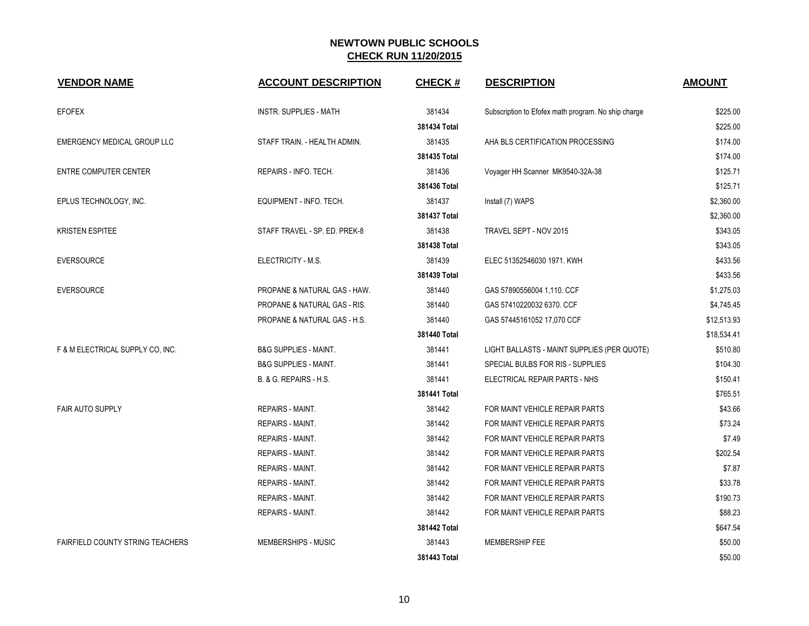| <b>VENDOR NAME</b>                      | <b>ACCOUNT DESCRIPTION</b>       | <b>CHECK#</b> | <b>DESCRIPTION</b>                                  | <b>AMOUNT</b> |
|-----------------------------------------|----------------------------------|---------------|-----------------------------------------------------|---------------|
| <b>EFOFEX</b>                           | <b>INSTR. SUPPLIES - MATH</b>    | 381434        | Subscription to Efofex math program. No ship charge | \$225.00      |
|                                         |                                  | 381434 Total  |                                                     | \$225.00      |
| EMERGENCY MEDICAL GROUP LLC             | STAFF TRAIN. - HEALTH ADMIN.     | 381435        | AHA BLS CERTIFICATION PROCESSING                    | \$174.00      |
|                                         |                                  | 381435 Total  |                                                     | \$174.00      |
| <b>ENTRE COMPUTER CENTER</b>            | REPAIRS - INFO. TECH.            | 381436        | Voyager HH Scanner MK9540-32A-38                    | \$125.71      |
|                                         |                                  | 381436 Total  |                                                     | \$125.71      |
| EPLUS TECHNOLOGY, INC.                  | EQUIPMENT - INFO. TECH.          | 381437        | Install (7) WAPS                                    | \$2,360.00    |
|                                         |                                  | 381437 Total  |                                                     | \$2,360.00    |
| <b>KRISTEN ESPITEE</b>                  | STAFF TRAVEL - SP. ED. PREK-8    | 381438        | TRAVEL SEPT - NOV 2015                              | \$343.05      |
|                                         |                                  | 381438 Total  |                                                     | \$343.05      |
| <b>EVERSOURCE</b>                       | ELECTRICITY - M.S.               | 381439        | ELEC 51352546030 1971. KWH                          | \$433.56      |
|                                         |                                  | 381439 Total  |                                                     | \$433.56      |
| <b>EVERSOURCE</b>                       | PROPANE & NATURAL GAS - HAW.     | 381440        | GAS 57890556004 1,110. CCF                          | \$1,275.03    |
|                                         | PROPANE & NATURAL GAS - RIS.     | 381440        | GAS 57410220032 6370. CCF                           | \$4,745.45    |
|                                         | PROPANE & NATURAL GAS - H.S.     | 381440        | GAS 57445161052 17,070 CCF                          | \$12,513.93   |
|                                         |                                  | 381440 Total  |                                                     | \$18,534.41   |
| F & M ELECTRICAL SUPPLY CO, INC.        | <b>B&amp;G SUPPLIES - MAINT.</b> | 381441        | LIGHT BALLASTS - MAINT SUPPLIES (PER QUOTE)         | \$510.80      |
|                                         | <b>B&amp;G SUPPLIES - MAINT.</b> | 381441        | SPECIAL BULBS FOR RIS - SUPPLIES                    | \$104.30      |
|                                         | B. & G. REPAIRS - H.S.           | 381441        | ELECTRICAL REPAIR PARTS - NHS                       | \$150.41      |
|                                         |                                  | 381441 Total  |                                                     | \$765.51      |
| <b>FAIR AUTO SUPPLY</b>                 | <b>REPAIRS - MAINT.</b>          | 381442        | FOR MAINT VEHICLE REPAIR PARTS                      | \$43.66       |
|                                         | REPAIRS - MAINT.                 | 381442        | FOR MAINT VEHICLE REPAIR PARTS                      | \$73.24       |
|                                         | <b>REPAIRS - MAINT.</b>          | 381442        | FOR MAINT VEHICLE REPAIR PARTS                      | \$7.49        |
|                                         | REPAIRS - MAINT.                 | 381442        | FOR MAINT VEHICLE REPAIR PARTS                      | \$202.54      |
|                                         | <b>REPAIRS - MAINT.</b>          | 381442        | FOR MAINT VEHICLE REPAIR PARTS                      | \$7.87        |
|                                         | REPAIRS - MAINT.                 | 381442        | FOR MAINT VEHICLE REPAIR PARTS                      | \$33.78       |
|                                         | REPAIRS - MAINT.                 | 381442        | FOR MAINT VEHICLE REPAIR PARTS                      | \$190.73      |
|                                         | REPAIRS - MAINT.                 | 381442        | FOR MAINT VEHICLE REPAIR PARTS                      | \$88.23       |
|                                         |                                  | 381442 Total  |                                                     | \$647.54      |
| <b>FAIRFIELD COUNTY STRING TEACHERS</b> | MEMBERSHIPS - MUSIC              | 381443        | MEMBERSHIP FEE                                      | \$50.00       |
|                                         |                                  | 381443 Total  |                                                     | \$50.00       |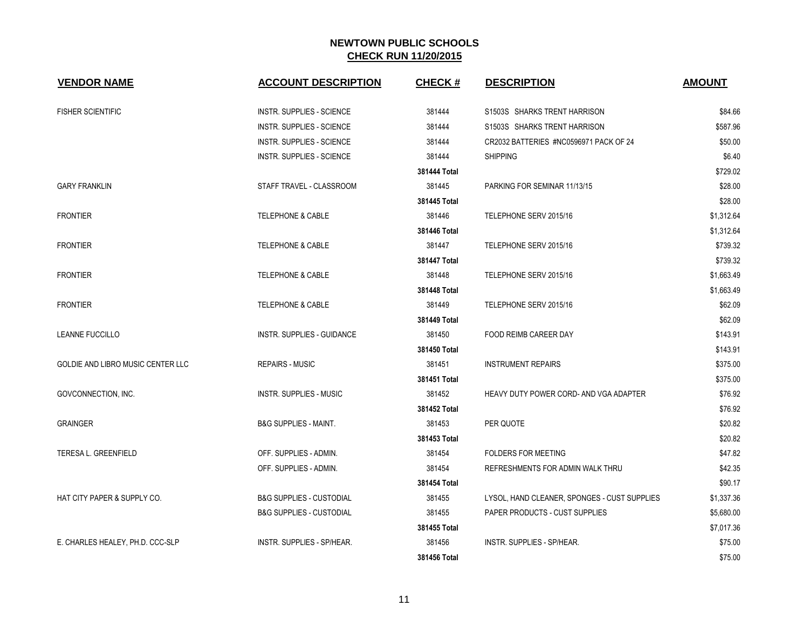| <b>VENDOR NAME</b>                | <b>ACCOUNT DESCRIPTION</b>          | <b>CHECK#</b> | <b>DESCRIPTION</b>                           | <b>AMOUNT</b> |
|-----------------------------------|-------------------------------------|---------------|----------------------------------------------|---------------|
| <b>FISHER SCIENTIFIC</b>          | <b>INSTR. SUPPLIES - SCIENCE</b>    | 381444        | S1503S SHARKS TRENT HARRISON                 | \$84.66       |
|                                   | <b>INSTR. SUPPLIES - SCIENCE</b>    | 381444        | S1503S SHARKS TRENT HARRISON                 | \$587.96      |
|                                   | INSTR. SUPPLIES - SCIENCE           | 381444        | CR2032 BATTERIES #NC0596971 PACK OF 24       | \$50.00       |
|                                   | <b>INSTR. SUPPLIES - SCIENCE</b>    | 381444        | <b>SHIPPING</b>                              | \$6.40        |
|                                   |                                     | 381444 Total  |                                              | \$729.02      |
| <b>GARY FRANKLIN</b>              | STAFF TRAVEL - CLASSROOM            | 381445        | PARKING FOR SEMINAR 11/13/15                 | \$28.00       |
|                                   |                                     | 381445 Total  |                                              | \$28.00       |
| <b>FRONTIER</b>                   | <b>TELEPHONE &amp; CABLE</b>        | 381446        | TELEPHONE SERV 2015/16                       | \$1,312.64    |
|                                   |                                     | 381446 Total  |                                              | \$1,312.64    |
| <b>FRONTIER</b>                   | <b>TELEPHONE &amp; CABLE</b>        | 381447        | TELEPHONE SERV 2015/16                       | \$739.32      |
|                                   |                                     | 381447 Total  |                                              | \$739.32      |
| <b>FRONTIER</b>                   | <b>TELEPHONE &amp; CABLE</b>        | 381448        | TELEPHONE SERV 2015/16                       | \$1,663.49    |
|                                   |                                     | 381448 Total  |                                              | \$1,663.49    |
| <b>FRONTIER</b>                   | <b>TELEPHONE &amp; CABLE</b>        | 381449        | TELEPHONE SERV 2015/16                       | \$62.09       |
|                                   |                                     | 381449 Total  |                                              | \$62.09       |
| <b>LEANNE FUCCILLO</b>            | <b>INSTR. SUPPLIES - GUIDANCE</b>   | 381450        | <b>FOOD REIMB CAREER DAY</b>                 | \$143.91      |
|                                   |                                     | 381450 Total  |                                              | \$143.91      |
| GOLDIE AND LIBRO MUSIC CENTER LLC | <b>REPAIRS - MUSIC</b>              | 381451        | <b>INSTRUMENT REPAIRS</b>                    | \$375.00      |
|                                   |                                     | 381451 Total  |                                              | \$375.00      |
| GOVCONNECTION, INC.               | <b>INSTR. SUPPLIES - MUSIC</b>      | 381452        | HEAVY DUTY POWER CORD- AND VGA ADAPTER       | \$76.92       |
|                                   |                                     | 381452 Total  |                                              | \$76.92       |
| <b>GRAINGER</b>                   | <b>B&amp;G SUPPLIES - MAINT.</b>    | 381453        | PER QUOTE                                    | \$20.82       |
|                                   |                                     | 381453 Total  |                                              | \$20.82       |
| TERESA L. GREENFIELD              | OFF. SUPPLIES - ADMIN.              | 381454        | <b>FOLDERS FOR MEETING</b>                   | \$47.82       |
|                                   | OFF. SUPPLIES - ADMIN.              | 381454        | REFRESHMENTS FOR ADMIN WALK THRU             | \$42.35       |
|                                   |                                     | 381454 Total  |                                              | \$90.17       |
| HAT CITY PAPER & SUPPLY CO.       | <b>B&amp;G SUPPLIES - CUSTODIAL</b> | 381455        | LYSOL, HAND CLEANER, SPONGES - CUST SUPPLIES | \$1,337.36    |
|                                   | <b>B&amp;G SUPPLIES - CUSTODIAL</b> | 381455        | <b>PAPER PRODUCTS - CUST SUPPLIES</b>        | \$5,680.00    |
|                                   |                                     | 381455 Total  |                                              | \$7,017.36    |
| E. CHARLES HEALEY, PH.D. CCC-SLP  | INSTR. SUPPLIES - SP/HEAR.          | 381456        | INSTR. SUPPLIES - SP/HEAR.                   | \$75.00       |
|                                   |                                     | 381456 Total  |                                              | \$75.00       |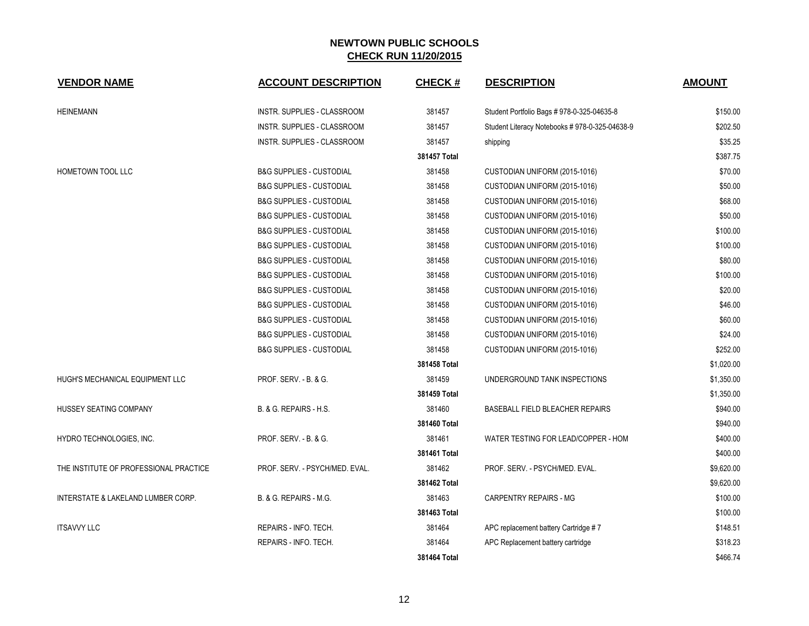| <b>VENDOR NAME</b>                     | <b>ACCOUNT DESCRIPTION</b>          | <b>CHECK#</b> | <b>DESCRIPTION</b>                            | <b>AMOUNT</b> |
|----------------------------------------|-------------------------------------|---------------|-----------------------------------------------|---------------|
| <b>HEINEMANN</b>                       | <b>INSTR. SUPPLIES - CLASSROOM</b>  | 381457        | Student Portfolio Bags # 978-0-325-04635-8    | \$150.00      |
|                                        | INSTR. SUPPLIES - CLASSROOM         | 381457        | Student Literacy Notebooks #978-0-325-04638-9 | \$202.50      |
|                                        | INSTR. SUPPLIES - CLASSROOM         | 381457        | shipping                                      | \$35.25       |
|                                        |                                     | 381457 Total  |                                               | \$387.75      |
| <b>HOMETOWN TOOL LLC</b>               | <b>B&amp;G SUPPLIES - CUSTODIAL</b> | 381458        | CUSTODIAN UNIFORM (2015-1016)                 | \$70.00       |
|                                        | <b>B&amp;G SUPPLIES - CUSTODIAL</b> | 381458        | CUSTODIAN UNIFORM (2015-1016)                 | \$50.00       |
|                                        | <b>B&amp;G SUPPLIES - CUSTODIAL</b> | 381458        | CUSTODIAN UNIFORM (2015-1016)                 | \$68.00       |
|                                        | <b>B&amp;G SUPPLIES - CUSTODIAL</b> | 381458        | CUSTODIAN UNIFORM (2015-1016)                 | \$50.00       |
|                                        | <b>B&amp;G SUPPLIES - CUSTODIAL</b> | 381458        | CUSTODIAN UNIFORM (2015-1016)                 | \$100.00      |
|                                        | <b>B&amp;G SUPPLIES - CUSTODIAL</b> | 381458        | CUSTODIAN UNIFORM (2015-1016)                 | \$100.00      |
|                                        | <b>B&amp;G SUPPLIES - CUSTODIAL</b> | 381458        | CUSTODIAN UNIFORM (2015-1016)                 | \$80.00       |
|                                        | <b>B&amp;G SUPPLIES - CUSTODIAL</b> | 381458        | CUSTODIAN UNIFORM (2015-1016)                 | \$100.00      |
|                                        | <b>B&amp;G SUPPLIES - CUSTODIAL</b> | 381458        | CUSTODIAN UNIFORM (2015-1016)                 | \$20.00       |
|                                        | <b>B&amp;G SUPPLIES - CUSTODIAL</b> | 381458        | CUSTODIAN UNIFORM (2015-1016)                 | \$46.00       |
|                                        | <b>B&amp;G SUPPLIES - CUSTODIAL</b> | 381458        | CUSTODIAN UNIFORM (2015-1016)                 | \$60.00       |
|                                        | <b>B&amp;G SUPPLIES - CUSTODIAL</b> | 381458        | CUSTODIAN UNIFORM (2015-1016)                 | \$24.00       |
|                                        | <b>B&amp;G SUPPLIES - CUSTODIAL</b> | 381458        | CUSTODIAN UNIFORM (2015-1016)                 | \$252.00      |
|                                        |                                     | 381458 Total  |                                               | \$1,020.00    |
| HUGH'S MECHANICAL EQUIPMENT LLC        | PROF. SERV. - B. & G.               | 381459        | UNDERGROUND TANK INSPECTIONS                  | \$1,350.00    |
|                                        |                                     | 381459 Total  |                                               | \$1,350.00    |
| HUSSEY SEATING COMPANY                 | B. & G. REPAIRS - H.S.              | 381460        | BASEBALL FIELD BLEACHER REPAIRS               | \$940.00      |
|                                        |                                     | 381460 Total  |                                               | \$940.00      |
| HYDRO TECHNOLOGIES, INC.               | PROF. SERV. - B. & G.               | 381461        | WATER TESTING FOR LEAD/COPPER - HOM           | \$400.00      |
|                                        |                                     | 381461 Total  |                                               | \$400.00      |
| THE INSTITUTE OF PROFESSIONAL PRACTICE | PROF. SERV. - PSYCH/MED. EVAL.      | 381462        | PROF. SERV. - PSYCH/MED. EVAL.                | \$9,620.00    |
|                                        |                                     | 381462 Total  |                                               | \$9,620.00    |
| INTERSTATE & LAKELAND LUMBER CORP.     | B. & G. REPAIRS - M.G.              | 381463        | CARPENTRY REPAIRS - MG                        | \$100.00      |
|                                        |                                     | 381463 Total  |                                               | \$100.00      |
| <b>ITSAVVY LLC</b>                     | REPAIRS - INFO. TECH.               | 381464        | APC replacement battery Cartridge #7          | \$148.51      |
|                                        | REPAIRS - INFO. TECH.               | 381464        | APC Replacement battery cartridge             | \$318.23      |
|                                        |                                     | 381464 Total  |                                               | \$466.74      |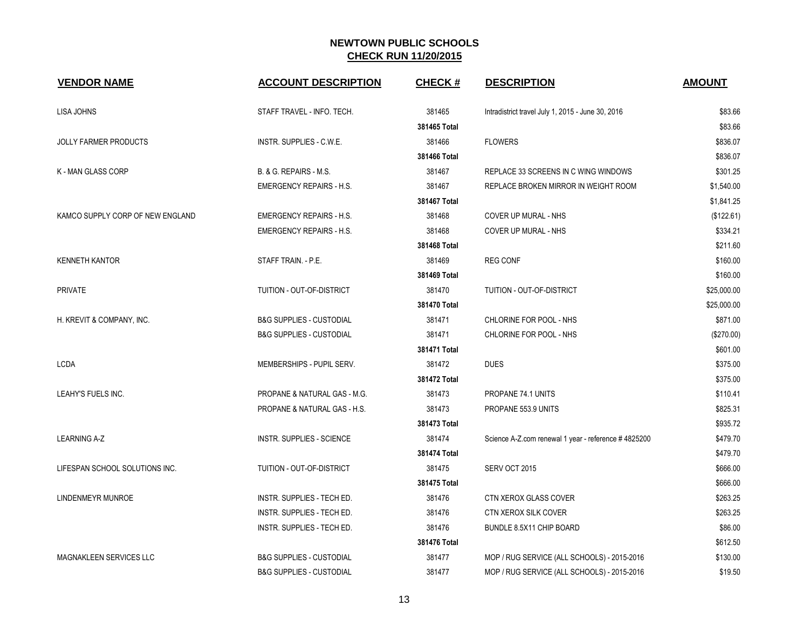| <b>VENDOR NAME</b>               | <b>ACCOUNT DESCRIPTION</b>          | <b>CHECK#</b> | <b>DESCRIPTION</b>                                  | <b>AMOUNT</b> |
|----------------------------------|-------------------------------------|---------------|-----------------------------------------------------|---------------|
| LISA JOHNS                       | STAFF TRAVEL - INFO. TECH.          | 381465        | Intradistrict travel July 1, 2015 - June 30, 2016   | \$83.66       |
|                                  |                                     | 381465 Total  |                                                     | \$83.66       |
| JOLLY FARMER PRODUCTS            | INSTR. SUPPLIES - C.W.E.            | 381466        | <b>FLOWERS</b>                                      | \$836.07      |
|                                  |                                     | 381466 Total  |                                                     | \$836.07      |
| <b>K-MAN GLASS CORP</b>          | B. & G. REPAIRS - M.S.              | 381467        | REPLACE 33 SCREENS IN C WING WINDOWS                | \$301.25      |
|                                  | <b>EMERGENCY REPAIRS - H.S.</b>     | 381467        | REPLACE BROKEN MIRROR IN WEIGHT ROOM                | \$1,540.00    |
|                                  |                                     | 381467 Total  |                                                     | \$1,841.25    |
| KAMCO SUPPLY CORP OF NEW ENGLAND | <b>EMERGENCY REPAIRS - H.S.</b>     | 381468        | COVER UP MURAL - NHS                                | (\$122.61)    |
|                                  | <b>EMERGENCY REPAIRS - H.S.</b>     | 381468        | <b>COVER UP MURAL - NHS</b>                         | \$334.21      |
|                                  |                                     | 381468 Total  |                                                     | \$211.60      |
| <b>KENNETH KANTOR</b>            | STAFF TRAIN. - P.E.                 | 381469        | <b>REG CONF</b>                                     | \$160.00      |
|                                  |                                     | 381469 Total  |                                                     | \$160.00      |
| PRIVATE                          | TUITION - OUT-OF-DISTRICT           | 381470        | TUITION - OUT-OF-DISTRICT                           | \$25,000.00   |
|                                  |                                     | 381470 Total  |                                                     | \$25,000.00   |
| H. KREVIT & COMPANY, INC.        | <b>B&amp;G SUPPLIES - CUSTODIAL</b> | 381471        | CHLORINE FOR POOL - NHS                             | \$871.00      |
|                                  | <b>B&amp;G SUPPLIES - CUSTODIAL</b> | 381471        | CHLORINE FOR POOL - NHS                             | (\$270.00)    |
|                                  |                                     | 381471 Total  |                                                     | \$601.00      |
| LCDA                             | MEMBERSHIPS - PUPIL SERV.           | 381472        | <b>DUES</b>                                         | \$375.00      |
|                                  |                                     | 381472 Total  |                                                     | \$375.00      |
| LEAHY'S FUELS INC.               | PROPANE & NATURAL GAS - M.G.        | 381473        | PROPANE 74.1 UNITS                                  | \$110.41      |
|                                  | PROPANE & NATURAL GAS - H.S.        | 381473        | PROPANE 553.9 UNITS                                 | \$825.31      |
|                                  |                                     | 381473 Total  |                                                     | \$935.72      |
| <b>LEARNING A-Z</b>              | INSTR. SUPPLIES - SCIENCE           | 381474        | Science A-Z.com renewal 1 year - reference #4825200 | \$479.70      |
|                                  |                                     | 381474 Total  |                                                     | \$479.70      |
| LIFESPAN SCHOOL SOLUTIONS INC.   | TUITION - OUT-OF-DISTRICT           | 381475        | SERV OCT 2015                                       | \$666.00      |
|                                  |                                     | 381475 Total  |                                                     | \$666.00      |
| LINDENMEYR MUNROE                | INSTR. SUPPLIES - TECH ED.          | 381476        | CTN XEROX GLASS COVER                               | \$263.25      |
|                                  | INSTR. SUPPLIES - TECH ED.          | 381476        | CTN XEROX SILK COVER                                | \$263.25      |
|                                  | INSTR. SUPPLIES - TECH ED.          | 381476        | BUNDLE 8.5X11 CHIP BOARD                            | \$86.00       |
|                                  |                                     | 381476 Total  |                                                     | \$612.50      |
| MAGNAKLEEN SERVICES LLC          | <b>B&amp;G SUPPLIES - CUSTODIAL</b> | 381477        | MOP / RUG SERVICE (ALL SCHOOLS) - 2015-2016         | \$130.00      |
|                                  | <b>B&amp;G SUPPLIES - CUSTODIAL</b> | 381477        | MOP / RUG SERVICE (ALL SCHOOLS) - 2015-2016         | \$19.50       |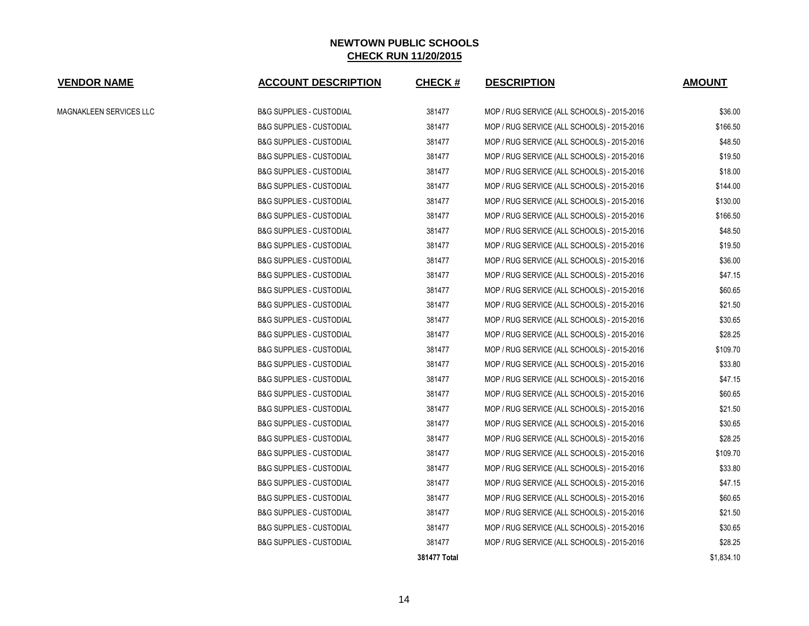| <b>VENDOR NAME</b>      | <b>ACCOUNT DESCRIPTION</b>          | <b>CHECK#</b> | <b>DESCRIPTION</b>                          | <b>AMOUNT</b> |
|-------------------------|-------------------------------------|---------------|---------------------------------------------|---------------|
| MAGNAKLEEN SERVICES LLC | <b>B&amp;G SUPPLIES - CUSTODIAL</b> | 381477        | MOP / RUG SERVICE (ALL SCHOOLS) - 2015-2016 | \$36.00       |
|                         | <b>B&amp;G SUPPLIES - CUSTODIAL</b> | 381477        | MOP / RUG SERVICE (ALL SCHOOLS) - 2015-2016 | \$166.50      |
|                         | <b>B&amp;G SUPPLIES - CUSTODIAL</b> | 381477        | MOP / RUG SERVICE (ALL SCHOOLS) - 2015-2016 | \$48.50       |
|                         | <b>B&amp;G SUPPLIES - CUSTODIAL</b> | 381477        | MOP / RUG SERVICE (ALL SCHOOLS) - 2015-2016 | \$19.50       |
|                         | <b>B&amp;G SUPPLIES - CUSTODIAL</b> | 381477        | MOP / RUG SERVICE (ALL SCHOOLS) - 2015-2016 | \$18.00       |
|                         | <b>B&amp;G SUPPLIES - CUSTODIAL</b> | 381477        | MOP / RUG SERVICE (ALL SCHOOLS) - 2015-2016 | \$144.00      |
|                         | <b>B&amp;G SUPPLIES - CUSTODIAL</b> | 381477        | MOP / RUG SERVICE (ALL SCHOOLS) - 2015-2016 | \$130.00      |
|                         | <b>B&amp;G SUPPLIES - CUSTODIAL</b> | 381477        | MOP / RUG SERVICE (ALL SCHOOLS) - 2015-2016 | \$166.50      |
|                         | <b>B&amp;G SUPPLIES - CUSTODIAL</b> | 381477        | MOP / RUG SERVICE (ALL SCHOOLS) - 2015-2016 | \$48.50       |
|                         | <b>B&amp;G SUPPLIES - CUSTODIAL</b> | 381477        | MOP / RUG SERVICE (ALL SCHOOLS) - 2015-2016 | \$19.50       |
|                         | <b>B&amp;G SUPPLIES - CUSTODIAL</b> | 381477        | MOP / RUG SERVICE (ALL SCHOOLS) - 2015-2016 | \$36.00       |
|                         | <b>B&amp;G SUPPLIES - CUSTODIAL</b> | 381477        | MOP / RUG SERVICE (ALL SCHOOLS) - 2015-2016 | \$47.15       |
|                         | <b>B&amp;G SUPPLIES - CUSTODIAL</b> | 381477        | MOP / RUG SERVICE (ALL SCHOOLS) - 2015-2016 | \$60.65       |
|                         | <b>B&amp;G SUPPLIES - CUSTODIAL</b> | 381477        | MOP / RUG SERVICE (ALL SCHOOLS) - 2015-2016 | \$21.50       |
|                         | <b>B&amp;G SUPPLIES - CUSTODIAL</b> | 381477        | MOP / RUG SERVICE (ALL SCHOOLS) - 2015-2016 | \$30.65       |
|                         | <b>B&amp;G SUPPLIES - CUSTODIAL</b> | 381477        | MOP / RUG SERVICE (ALL SCHOOLS) - 2015-2016 | \$28.25       |
|                         | <b>B&amp;G SUPPLIES - CUSTODIAL</b> | 381477        | MOP / RUG SERVICE (ALL SCHOOLS) - 2015-2016 | \$109.70      |
|                         | <b>B&amp;G SUPPLIES - CUSTODIAL</b> | 381477        | MOP / RUG SERVICE (ALL SCHOOLS) - 2015-2016 | \$33.80       |
|                         | <b>B&amp;G SUPPLIES - CUSTODIAL</b> | 381477        | MOP / RUG SERVICE (ALL SCHOOLS) - 2015-2016 | \$47.15       |
|                         | <b>B&amp;G SUPPLIES - CUSTODIAL</b> | 381477        | MOP / RUG SERVICE (ALL SCHOOLS) - 2015-2016 | \$60.65       |
|                         | <b>B&amp;G SUPPLIES - CUSTODIAL</b> | 381477        | MOP / RUG SERVICE (ALL SCHOOLS) - 2015-2016 | \$21.50       |
|                         | <b>B&amp;G SUPPLIES - CUSTODIAL</b> | 381477        | MOP / RUG SERVICE (ALL SCHOOLS) - 2015-2016 | \$30.65       |
|                         | <b>B&amp;G SUPPLIES - CUSTODIAL</b> | 381477        | MOP / RUG SERVICE (ALL SCHOOLS) - 2015-2016 | \$28.25       |
|                         | <b>B&amp;G SUPPLIES - CUSTODIAL</b> | 381477        | MOP / RUG SERVICE (ALL SCHOOLS) - 2015-2016 | \$109.70      |
|                         | <b>B&amp;G SUPPLIES - CUSTODIAL</b> | 381477        | MOP / RUG SERVICE (ALL SCHOOLS) - 2015-2016 | \$33.80       |
|                         | <b>B&amp;G SUPPLIES - CUSTODIAL</b> | 381477        | MOP / RUG SERVICE (ALL SCHOOLS) - 2015-2016 | \$47.15       |
|                         | <b>B&amp;G SUPPLIES - CUSTODIAL</b> | 381477        | MOP / RUG SERVICE (ALL SCHOOLS) - 2015-2016 | \$60.65       |
|                         | <b>B&amp;G SUPPLIES - CUSTODIAL</b> | 381477        | MOP / RUG SERVICE (ALL SCHOOLS) - 2015-2016 | \$21.50       |
|                         | <b>B&amp;G SUPPLIES - CUSTODIAL</b> | 381477        | MOP / RUG SERVICE (ALL SCHOOLS) - 2015-2016 | \$30.65       |
|                         | <b>B&amp;G SUPPLIES - CUSTODIAL</b> | 381477        | MOP / RUG SERVICE (ALL SCHOOLS) - 2015-2016 | \$28.25       |
|                         |                                     | 381477 Total  |                                             | \$1,834.10    |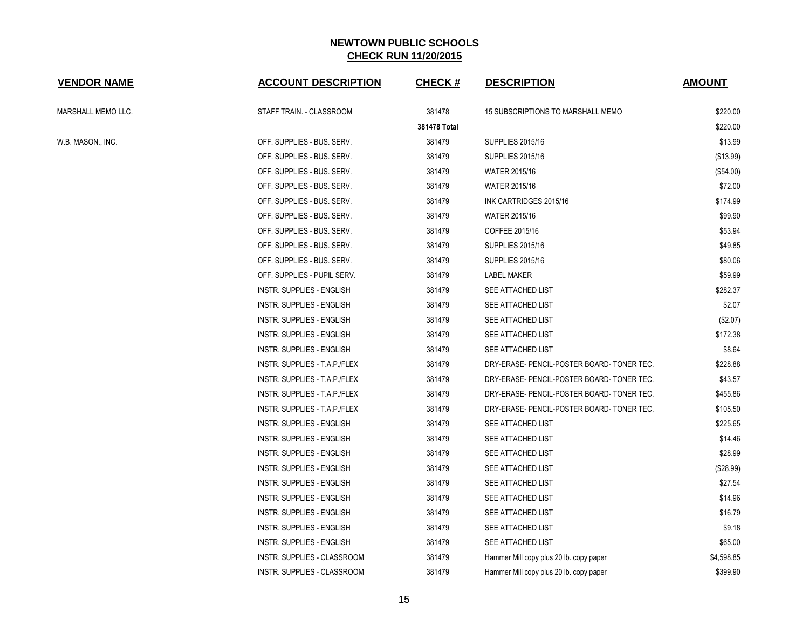| <b>VENDOR NAME</b> | <b>ACCOUNT DESCRIPTION</b>         | <b>CHECK#</b> | <b>DESCRIPTION</b>                         | <b>AMOUNT</b> |
|--------------------|------------------------------------|---------------|--------------------------------------------|---------------|
| MARSHALL MEMO LLC. | STAFF TRAIN. - CLASSROOM           | 381478        | 15 SUBSCRIPTIONS TO MARSHALL MEMO          | \$220.00      |
|                    |                                    | 381478 Total  |                                            | \$220.00      |
| W.B. MASON., INC.  | OFF. SUPPLIES - BUS. SERV.         | 381479        | <b>SUPPLIES 2015/16</b>                    | \$13.99       |
|                    | OFF. SUPPLIES - BUS. SERV.         | 381479        | <b>SUPPLIES 2015/16</b>                    | (\$13.99)     |
|                    | OFF. SUPPLIES - BUS. SERV.         | 381479        | <b>WATER 2015/16</b>                       | (\$54.00)     |
|                    | OFF. SUPPLIES - BUS. SERV.         | 381479        | WATER 2015/16                              | \$72.00       |
|                    | OFF. SUPPLIES - BUS. SERV.         | 381479        | INK CARTRIDGES 2015/16                     | \$174.99      |
|                    | OFF. SUPPLIES - BUS. SERV.         | 381479        | <b>WATER 2015/16</b>                       | \$99.90       |
|                    | OFF. SUPPLIES - BUS. SERV.         | 381479        | COFFEE 2015/16                             | \$53.94       |
|                    | OFF. SUPPLIES - BUS. SERV.         | 381479        | <b>SUPPLIES 2015/16</b>                    | \$49.85       |
|                    | OFF. SUPPLIES - BUS. SERV.         | 381479        | <b>SUPPLIES 2015/16</b>                    | \$80.06       |
|                    | OFF. SUPPLIES - PUPIL SERV.        | 381479        | <b>LABEL MAKER</b>                         | \$59.99       |
|                    | <b>INSTR. SUPPLIES - ENGLISH</b>   | 381479        | SEE ATTACHED LIST                          | \$282.37      |
|                    | INSTR. SUPPLIES - ENGLISH          | 381479        | SEE ATTACHED LIST                          | \$2.07        |
|                    | <b>INSTR. SUPPLIES - ENGLISH</b>   | 381479        | SEE ATTACHED LIST                          | (\$2.07)      |
|                    | <b>INSTR. SUPPLIES - ENGLISH</b>   | 381479        | SEE ATTACHED LIST                          | \$172.38      |
|                    | INSTR. SUPPLIES - ENGLISH          | 381479        | SEE ATTACHED LIST                          | \$8.64        |
|                    | INSTR. SUPPLIES - T.A.P./FLEX      | 381479        | DRY-ERASE- PENCIL-POSTER BOARD- TONER TEC. | \$228.88      |
|                    | INSTR. SUPPLIES - T.A.P./FLEX      | 381479        | DRY-ERASE- PENCIL-POSTER BOARD- TONER TEC. | \$43.57       |
|                    | INSTR. SUPPLIES - T.A.P./FLEX      | 381479        | DRY-ERASE- PENCIL-POSTER BOARD- TONER TEC. | \$455.86      |
|                    | INSTR. SUPPLIES - T.A.P./FLEX      | 381479        | DRY-ERASE- PENCIL-POSTER BOARD- TONER TEC. | \$105.50      |
|                    | <b>INSTR. SUPPLIES - ENGLISH</b>   | 381479        | SEE ATTACHED LIST                          | \$225.65      |
|                    | <b>INSTR. SUPPLIES - ENGLISH</b>   | 381479        | SEE ATTACHED LIST                          | \$14.46       |
|                    | <b>INSTR. SUPPLIES - ENGLISH</b>   | 381479        | SEE ATTACHED LIST                          | \$28.99       |
|                    | <b>INSTR. SUPPLIES - ENGLISH</b>   | 381479        | SEE ATTACHED LIST                          | (\$28.99)     |
|                    | <b>INSTR. SUPPLIES - ENGLISH</b>   | 381479        | SEE ATTACHED LIST                          | \$27.54       |
|                    | <b>INSTR. SUPPLIES - ENGLISH</b>   | 381479        | SEE ATTACHED LIST                          | \$14.96       |
|                    | INSTR. SUPPLIES - ENGLISH          | 381479        | SEE ATTACHED LIST                          | \$16.79       |
|                    | INSTR. SUPPLIES - ENGLISH          | 381479        | SEE ATTACHED LIST                          | \$9.18        |
|                    | INSTR. SUPPLIES - ENGLISH          | 381479        | SEE ATTACHED LIST                          | \$65.00       |
|                    | <b>INSTR. SUPPLIES - CLASSROOM</b> | 381479        | Hammer Mill copy plus 20 lb. copy paper    | \$4,598.85    |
|                    | INSTR. SUPPLIES - CLASSROOM        | 381479        | Hammer Mill copy plus 20 lb. copy paper    | \$399.90      |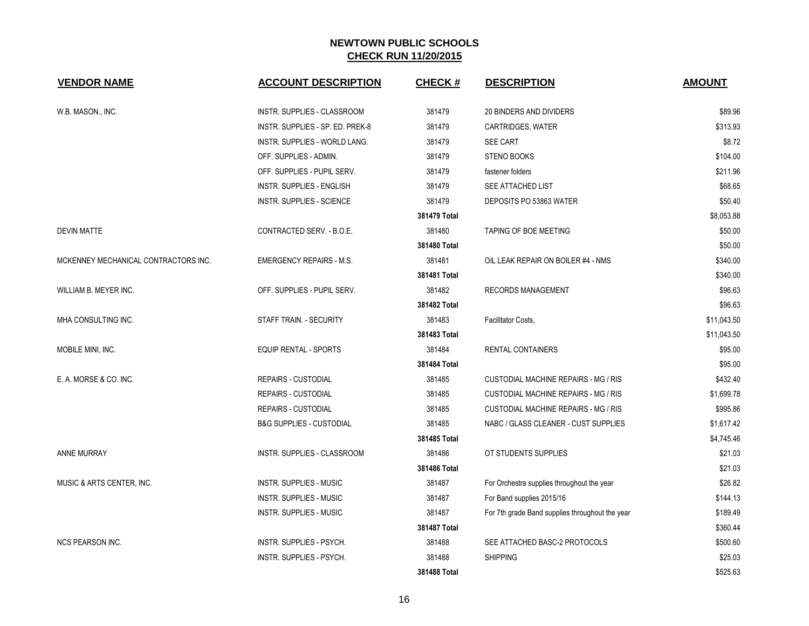| <b>VENDOR NAME</b>                   | <b>ACCOUNT DESCRIPTION</b>          | <b>CHECK#</b> | <b>DESCRIPTION</b>                              | <b>AMOUNT</b> |
|--------------------------------------|-------------------------------------|---------------|-------------------------------------------------|---------------|
| W.B. MASON., INC.                    | INSTR. SUPPLIES - CLASSROOM         | 381479        | 20 BINDERS AND DIVIDERS                         | \$89.96       |
|                                      | INSTR. SUPPLIES - SP. ED. PREK-8    | 381479        | <b>CARTRIDGES, WATER</b>                        | \$313.93      |
|                                      | INSTR. SUPPLIES - WORLD LANG.       | 381479        | SEE CART                                        | \$8.72        |
|                                      | OFF. SUPPLIES - ADMIN.              | 381479        | <b>STENO BOOKS</b>                              | \$104.00      |
|                                      | OFF. SUPPLIES - PUPIL SERV.         | 381479        | fastener folders                                | \$211.96      |
|                                      | <b>INSTR. SUPPLIES - ENGLISH</b>    | 381479        | SEE ATTACHED LIST                               | \$68.65       |
|                                      | INSTR. SUPPLIES - SCIENCE           | 381479        | DEPOSITS PO 53863 WATER                         | \$50.40       |
|                                      |                                     | 381479 Total  |                                                 | \$8,053.88    |
| <b>DEVIN MATTE</b>                   | CONTRACTED SERV. - B.O.E.           | 381480        | TAPING OF BOE MEETING                           | \$50.00       |
|                                      |                                     | 381480 Total  |                                                 | \$50.00       |
| MCKENNEY MECHANICAL CONTRACTORS INC. | <b>EMERGENCY REPAIRS - M.S.</b>     | 381481        | OIL LEAK REPAIR ON BOILER #4 - NMS              | \$340.00      |
|                                      |                                     | 381481 Total  |                                                 | \$340.00      |
| WILLIAM B. MEYER INC.                | OFF. SUPPLIES - PUPIL SERV.         | 381482        | <b>RECORDS MANAGEMENT</b>                       | \$96.63       |
|                                      |                                     | 381482 Total  |                                                 | \$96.63       |
| MHA CONSULTING INC.                  | STAFF TRAIN. - SECURITY             | 381483        | Facilitator Costs,                              | \$11,043.50   |
|                                      |                                     | 381483 Total  |                                                 | \$11,043.50   |
| MOBILE MINI, INC.                    | EQUIP RENTAL - SPORTS               | 381484        | <b>RENTAL CONTAINERS</b>                        | \$95.00       |
|                                      |                                     | 381484 Total  |                                                 | \$95.00       |
| E. A. MORSE & CO. INC.               | <b>REPAIRS - CUSTODIAL</b>          | 381485        | <b>CUSTODIAL MACHINE REPAIRS - MG / RIS</b>     | \$432.40      |
|                                      | <b>REPAIRS - CUSTODIAL</b>          | 381485        | <b>CUSTODIAL MACHINE REPAIRS - MG / RIS</b>     | \$1,699.78    |
|                                      | <b>REPAIRS - CUSTODIAL</b>          | 381485        | CUSTODIAL MACHINE REPAIRS - MG / RIS            | \$995.86      |
|                                      | <b>B&amp;G SUPPLIES - CUSTODIAL</b> | 381485        | NABC / GLASS CLEANER - CUST SUPPLIES            | \$1,617.42    |
|                                      |                                     | 381485 Total  |                                                 | \$4,745.46    |
| <b>ANNE MURRAY</b>                   | INSTR. SUPPLIES - CLASSROOM         | 381486        | OT STUDENTS SUPPLIES                            | \$21.03       |
|                                      |                                     | 381486 Total  |                                                 | \$21.03       |
| MUSIC & ARTS CENTER, INC.            | INSTR. SUPPLIES - MUSIC             | 381487        | For Orchestra supplies throughout the year      | \$26.82       |
|                                      | INSTR. SUPPLIES - MUSIC             | 381487        | For Band supplies 2015/16                       | \$144.13      |
|                                      | INSTR. SUPPLIES - MUSIC             | 381487        | For 7th grade Band supplies throughout the year | \$189.49      |
|                                      |                                     | 381487 Total  |                                                 | \$360.44      |
| <b>NCS PEARSON INC.</b>              | INSTR. SUPPLIES - PSYCH.            | 381488        | SEE ATTACHED BASC-2 PROTOCOLS                   | \$500.60      |
|                                      | INSTR. SUPPLIES - PSYCH.            | 381488        | <b>SHIPPING</b>                                 | \$25.03       |
|                                      |                                     | 381488 Total  |                                                 | \$525.63      |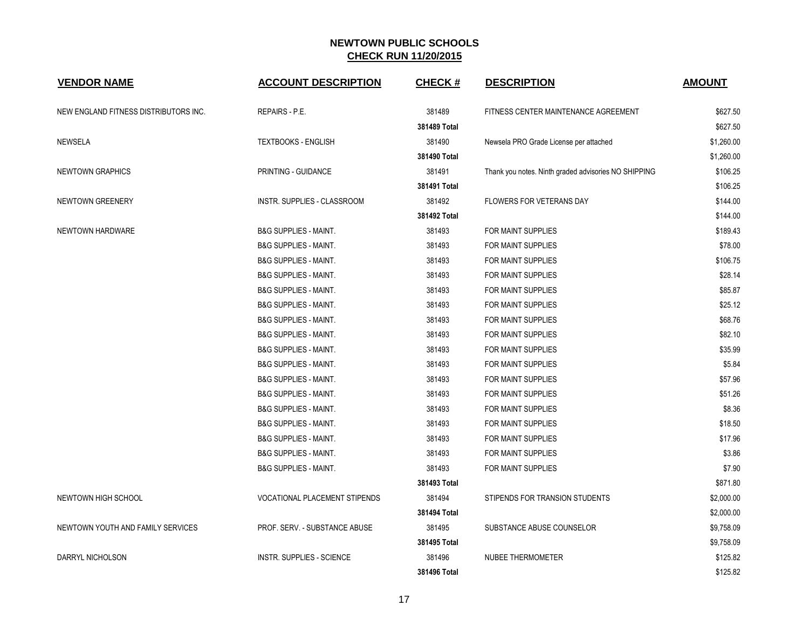| <b>VENDOR NAME</b>                    | <b>ACCOUNT DESCRIPTION</b>         | <b>CHECK#</b> | <b>DESCRIPTION</b>                                   | <b>AMOUNT</b> |
|---------------------------------------|------------------------------------|---------------|------------------------------------------------------|---------------|
| NEW ENGLAND FITNESS DISTRIBUTORS INC. | REPAIRS - P.E.                     | 381489        | FITNESS CENTER MAINTENANCE AGREEMENT                 | \$627.50      |
|                                       |                                    | 381489 Total  |                                                      | \$627.50      |
| NEWSELA                               | <b>TEXTBOOKS - ENGLISH</b>         | 381490        | Newsela PRO Grade License per attached               | \$1,260.00    |
|                                       |                                    | 381490 Total  |                                                      | \$1,260.00    |
| NEWTOWN GRAPHICS                      | PRINTING - GUIDANCE                | 381491        | Thank you notes. Ninth graded advisories NO SHIPPING | \$106.25      |
|                                       |                                    | 381491 Total  |                                                      | \$106.25      |
| NEWTOWN GREENERY                      | <b>INSTR. SUPPLIES - CLASSROOM</b> | 381492        | <b>FLOWERS FOR VETERANS DAY</b>                      | \$144.00      |
|                                       |                                    | 381492 Total  |                                                      | \$144.00      |
| NEWTOWN HARDWARE                      | <b>B&amp;G SUPPLIES - MAINT.</b>   | 381493        | FOR MAINT SUPPLIES                                   | \$189.43      |
|                                       | <b>B&amp;G SUPPLIES - MAINT.</b>   | 381493        | FOR MAINT SUPPLIES                                   | \$78.00       |
|                                       | <b>B&amp;G SUPPLIES - MAINT.</b>   | 381493        | FOR MAINT SUPPLIES                                   | \$106.75      |
|                                       | <b>B&amp;G SUPPLIES - MAINT.</b>   | 381493        | <b>FOR MAINT SUPPLIES</b>                            | \$28.14       |
|                                       | <b>B&amp;G SUPPLIES - MAINT.</b>   | 381493        | <b>FOR MAINT SUPPLIES</b>                            | \$85.87       |
|                                       | <b>B&amp;G SUPPLIES - MAINT.</b>   | 381493        | <b>FOR MAINT SUPPLIES</b>                            | \$25.12       |
|                                       | <b>B&amp;G SUPPLIES - MAINT.</b>   | 381493        | <b>FOR MAINT SUPPLIES</b>                            | \$68.76       |
|                                       | <b>B&amp;G SUPPLIES - MAINT.</b>   | 381493        | <b>FOR MAINT SUPPLIES</b>                            | \$82.10       |
|                                       | <b>B&amp;G SUPPLIES - MAINT.</b>   | 381493        | FOR MAINT SUPPLIES                                   | \$35.99       |
|                                       | <b>B&amp;G SUPPLIES - MAINT.</b>   | 381493        | FOR MAINT SUPPLIES                                   | \$5.84        |
|                                       | <b>B&amp;G SUPPLIES - MAINT.</b>   | 381493        | FOR MAINT SUPPLIES                                   | \$57.96       |
|                                       | <b>B&amp;G SUPPLIES - MAINT.</b>   | 381493        | FOR MAINT SUPPLIES                                   | \$51.26       |
|                                       | <b>B&amp;G SUPPLIES - MAINT.</b>   | 381493        | <b>FOR MAINT SUPPLIES</b>                            | \$8.36        |
|                                       | <b>B&amp;G SUPPLIES - MAINT.</b>   | 381493        | <b>FOR MAINT SUPPLIES</b>                            | \$18.50       |
|                                       | <b>B&amp;G SUPPLIES - MAINT.</b>   | 381493        | FOR MAINT SUPPLIES                                   | \$17.96       |
|                                       | <b>B&amp;G SUPPLIES - MAINT.</b>   | 381493        | <b>FOR MAINT SUPPLIES</b>                            | \$3.86        |
|                                       | <b>B&amp;G SUPPLIES - MAINT.</b>   | 381493        | FOR MAINT SUPPLIES                                   | \$7.90        |
|                                       |                                    | 381493 Total  |                                                      | \$871.80      |
| NEWTOWN HIGH SCHOOL                   | VOCATIONAL PLACEMENT STIPENDS      | 381494        | STIPENDS FOR TRANSION STUDENTS                       | \$2,000.00    |
|                                       |                                    | 381494 Total  |                                                      | \$2,000.00    |
| NEWTOWN YOUTH AND FAMILY SERVICES     | PROF. SERV. - SUBSTANCE ABUSE      | 381495        | SUBSTANCE ABUSE COUNSELOR                            | \$9,758.09    |
|                                       |                                    | 381495 Total  |                                                      | \$9,758.09    |
| DARRYL NICHOLSON                      | <b>INSTR. SUPPLIES - SCIENCE</b>   | 381496        | <b>NUBEE THERMOMETER</b>                             | \$125.82      |
|                                       |                                    | 381496 Total  |                                                      | \$125.82      |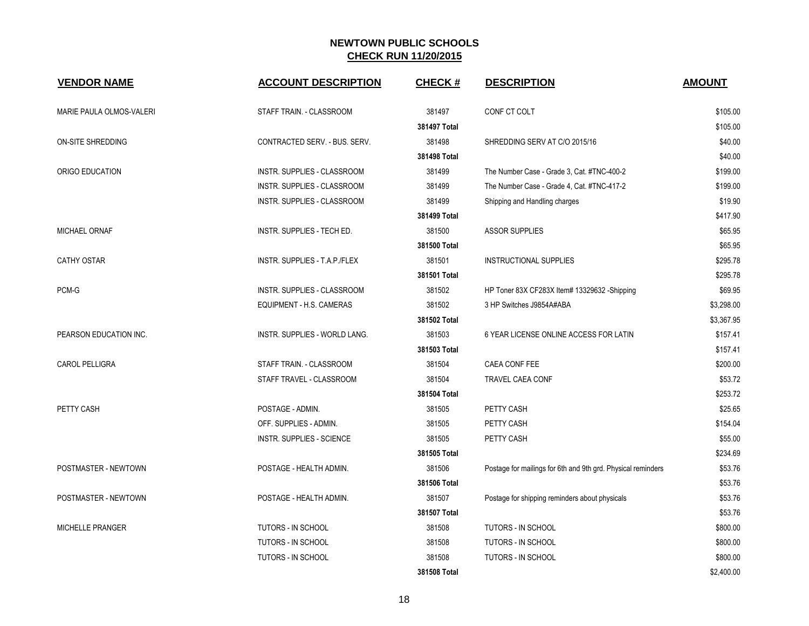| <b>VENDOR NAME</b>       | <b>ACCOUNT DESCRIPTION</b>         | <b>CHECK#</b> | <b>DESCRIPTION</b>                                           | <b>AMOUNT</b> |
|--------------------------|------------------------------------|---------------|--------------------------------------------------------------|---------------|
| MARIE PAULA OLMOS-VALERI | STAFF TRAIN. - CLASSROOM           | 381497        | CONF CT COLT                                                 | \$105.00      |
|                          |                                    | 381497 Total  |                                                              | \$105.00      |
| ON-SITE SHREDDING        | CONTRACTED SERV. - BUS. SERV.      | 381498        | SHREDDING SERV AT C/O 2015/16                                | \$40.00       |
|                          |                                    | 381498 Total  |                                                              | \$40.00       |
| ORIGO EDUCATION          | INSTR. SUPPLIES - CLASSROOM        | 381499        | The Number Case - Grade 3, Cat. #TNC-400-2                   | \$199.00      |
|                          | <b>INSTR. SUPPLIES - CLASSROOM</b> | 381499        | The Number Case - Grade 4, Cat. #TNC-417-2                   | \$199.00      |
|                          | INSTR. SUPPLIES - CLASSROOM        | 381499        | Shipping and Handling charges                                | \$19.90       |
|                          |                                    | 381499 Total  |                                                              | \$417.90      |
| MICHAEL ORNAF            | INSTR. SUPPLIES - TECH ED.         | 381500        | <b>ASSOR SUPPLIES</b>                                        | \$65.95       |
|                          |                                    | 381500 Total  |                                                              | \$65.95       |
| <b>CATHY OSTAR</b>       | INSTR. SUPPLIES - T.A.P./FLEX      | 381501        | INSTRUCTIONAL SUPPLIES                                       | \$295.78      |
|                          |                                    | 381501 Total  |                                                              | \$295.78      |
| PCM-G                    | INSTR. SUPPLIES - CLASSROOM        | 381502        | HP Toner 83X CF283X Item# 13329632 -Shipping                 | \$69.95       |
|                          | EQUIPMENT - H.S. CAMERAS           | 381502        | 3 HP Switches J9854A#ABA                                     | \$3,298.00    |
|                          |                                    | 381502 Total  |                                                              | \$3,367.95    |
| PEARSON EDUCATION INC.   | INSTR. SUPPLIES - WORLD LANG.      | 381503        | 6 YEAR LICENSE ONLINE ACCESS FOR LATIN                       | \$157.41      |
|                          |                                    | 381503 Total  |                                                              | \$157.41      |
| CAROL PELLIGRA           | STAFF TRAIN. - CLASSROOM           | 381504        | CAEA CONF FEE                                                | \$200.00      |
|                          | STAFF TRAVEL - CLASSROOM           | 381504        | TRAVEL CAEA CONF                                             | \$53.72       |
|                          |                                    | 381504 Total  |                                                              | \$253.72      |
| PETTY CASH               | POSTAGE - ADMIN.                   | 381505        | PETTY CASH                                                   | \$25.65       |
|                          | OFF. SUPPLIES - ADMIN.             | 381505        | PETTY CASH                                                   | \$154.04      |
|                          | INSTR. SUPPLIES - SCIENCE          | 381505        | PETTY CASH                                                   | \$55.00       |
|                          |                                    | 381505 Total  |                                                              | \$234.69      |
| POSTMASTER - NEWTOWN     | POSTAGE - HEALTH ADMIN.            | 381506        | Postage for mailings for 6th and 9th grd. Physical reminders | \$53.76       |
|                          |                                    | 381506 Total  |                                                              | \$53.76       |
| POSTMASTER - NEWTOWN     | POSTAGE - HEALTH ADMIN.            | 381507        | Postage for shipping reminders about physicals               | \$53.76       |
|                          |                                    | 381507 Total  |                                                              | \$53.76       |
| MICHELLE PRANGER         | TUTORS - IN SCHOOL                 | 381508        | TUTORS - IN SCHOOL                                           | \$800.00      |
|                          | TUTORS - IN SCHOOL                 | 381508        | TUTORS - IN SCHOOL                                           | \$800.00      |
|                          | TUTORS - IN SCHOOL                 | 381508        | <b>TUTORS - IN SCHOOL</b>                                    | \$800.00      |
|                          |                                    | 381508 Total  |                                                              | \$2,400.00    |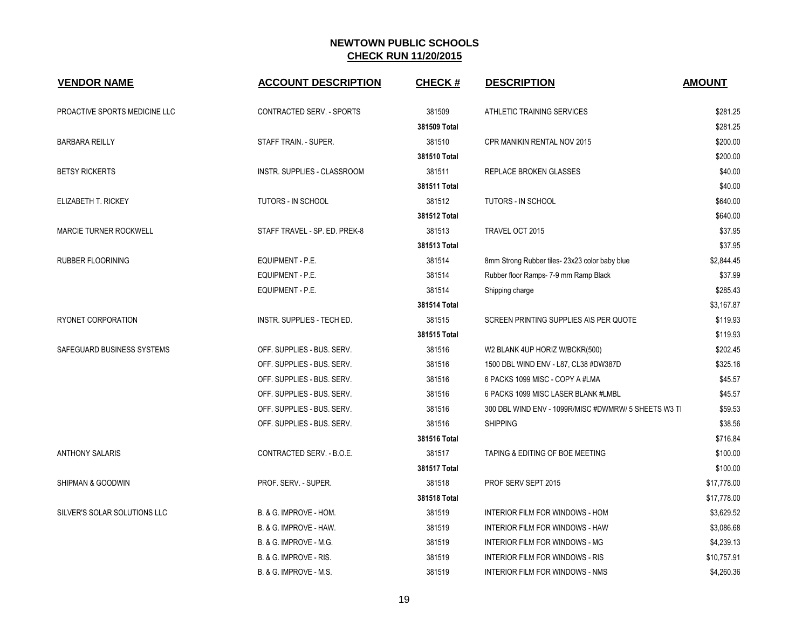| <b>VENDOR NAME</b>            | <b>ACCOUNT DESCRIPTION</b>        | <b>CHECK#</b> | <b>DESCRIPTION</b>                                  | <b>AMOUNT</b> |
|-------------------------------|-----------------------------------|---------------|-----------------------------------------------------|---------------|
| PROACTIVE SPORTS MEDICINE LLC | CONTRACTED SERV. - SPORTS         | 381509        | ATHLETIC TRAINING SERVICES                          | \$281.25      |
|                               |                                   | 381509 Total  |                                                     | \$281.25      |
| <b>BARBARA REILLY</b>         | STAFF TRAIN. - SUPER.             | 381510        | CPR MANIKIN RENTAL NOV 2015                         | \$200.00      |
|                               |                                   | 381510 Total  |                                                     | \$200.00      |
| <b>BETSY RICKERTS</b>         | INSTR. SUPPLIES - CLASSROOM       | 381511        | <b>REPLACE BROKEN GLASSES</b>                       | \$40.00       |
|                               |                                   | 381511 Total  |                                                     | \$40.00       |
| ELIZABETH T. RICKEY           | TUTORS - IN SCHOOL                | 381512        | <b>TUTORS - IN SCHOOL</b>                           | \$640.00      |
|                               |                                   | 381512 Total  |                                                     | \$640.00      |
| <b>MARCIE TURNER ROCKWELL</b> | STAFF TRAVEL - SP. ED. PREK-8     | 381513        | TRAVEL OCT 2015                                     | \$37.95       |
|                               |                                   | 381513 Total  |                                                     | \$37.95       |
| <b>RUBBER FLOORINING</b>      | EQUIPMENT - P.E.                  | 381514        | 8mm Strong Rubber tiles-23x23 color baby blue       | \$2,844.45    |
|                               | EQUIPMENT - P.E.                  | 381514        | Rubber floor Ramps- 7-9 mm Ramp Black               | \$37.99       |
|                               | EQUIPMENT - P.E.                  | 381514        | Shipping charge                                     | \$285.43      |
|                               |                                   | 381514 Total  |                                                     | \$3,167.87    |
| RYONET CORPORATION            | INSTR. SUPPLIES - TECH ED.        | 381515        | SCREEN PRINTING SUPPLIES AIS PER QUOTE              | \$119.93      |
|                               |                                   | 381515 Total  |                                                     | \$119.93      |
| SAFEGUARD BUSINESS SYSTEMS    | OFF. SUPPLIES - BUS. SERV.        | 381516        | W2 BLANK 4UP HORIZ W/BCKR(500)                      | \$202.45      |
|                               | OFF. SUPPLIES - BUS. SERV.        | 381516        | 1500 DBL WIND ENV - L87, CL38 #DW387D               | \$325.16      |
|                               | OFF. SUPPLIES - BUS. SERV.        | 381516        | 6 PACKS 1099 MISC - COPY A #LMA                     | \$45.57       |
|                               | OFF. SUPPLIES - BUS. SERV.        | 381516        | 6 PACKS 1099 MISC LASER BLANK #LMBL                 | \$45.57       |
|                               | OFF. SUPPLIES - BUS. SERV.        | 381516        | 300 DBL WIND ENV - 1099R/MISC #DWMRW/ 5 SHEETS W3 T | \$59.53       |
|                               | OFF. SUPPLIES - BUS. SERV.        | 381516        | <b>SHIPPING</b>                                     | \$38.56       |
|                               |                                   | 381516 Total  |                                                     | \$716.84      |
| <b>ANTHONY SALARIS</b>        | CONTRACTED SERV. - B.O.E.         | 381517        | TAPING & EDITING OF BOE MEETING                     | \$100.00      |
|                               |                                   | 381517 Total  |                                                     | \$100.00      |
| SHIPMAN & GOODWIN             | PROF. SERV. - SUPER.              | 381518        | PROF SERV SEPT 2015                                 | \$17,778.00   |
|                               |                                   | 381518 Total  |                                                     | \$17,778.00   |
| SILVER'S SOLAR SOLUTIONS LLC  | B. & G. IMPROVE - HOM.            | 381519        | INTERIOR FILM FOR WINDOWS - HOM                     | \$3,629.52    |
|                               | B. & G. IMPROVE - HAW.            | 381519        | INTERIOR FILM FOR WINDOWS - HAW                     | \$3,086.68    |
|                               | <b>B. &amp; G. IMPROVE - M.G.</b> | 381519        | INTERIOR FILM FOR WINDOWS - MG                      | \$4,239.13    |
|                               | B. & G. IMPROVE - RIS.            | 381519        | <b>INTERIOR FILM FOR WINDOWS - RIS</b>              | \$10,757.91   |
|                               | B. & G. IMPROVE - M.S.            | 381519        | INTERIOR FILM FOR WINDOWS - NMS                     | \$4,260.36    |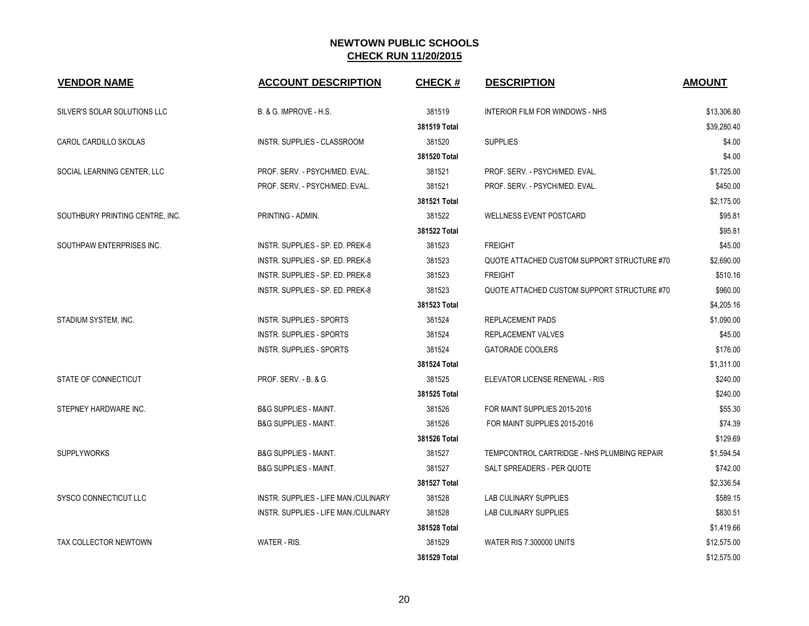| <b>VENDOR NAME</b>              | <b>ACCOUNT DESCRIPTION</b>           | <b>CHECK#</b> | <b>DESCRIPTION</b>                          | <b>AMOUNT</b> |
|---------------------------------|--------------------------------------|---------------|---------------------------------------------|---------------|
| SILVER'S SOLAR SOLUTIONS LLC    | B. & G. IMPROVE - H.S.               | 381519        | INTERIOR FILM FOR WINDOWS - NHS             | \$13,306.80   |
|                                 |                                      | 381519 Total  |                                             | \$39,280.40   |
| CAROL CARDILLO SKOLAS           | INSTR. SUPPLIES - CLASSROOM          | 381520        | <b>SUPPLIES</b>                             | \$4.00        |
|                                 |                                      | 381520 Total  |                                             | \$4.00        |
| SOCIAL LEARNING CENTER, LLC     | PROF. SERV. - PSYCH/MED. EVAL.       | 381521        | PROF. SERV. - PSYCH/MED. EVAL.              | \$1,725.00    |
|                                 | PROF. SERV. - PSYCH/MED. EVAL.       | 381521        | PROF. SERV. - PSYCH/MED. EVAL.              | \$450.00      |
|                                 |                                      | 381521 Total  |                                             | \$2,175.00    |
| SOUTHBURY PRINTING CENTRE, INC. | PRINTING - ADMIN.                    | 381522        | <b>WELLNESS EVENT POSTCARD</b>              | \$95.81       |
|                                 |                                      | 381522 Total  |                                             | \$95.81       |
| SOUTHPAW ENTERPRISES INC.       | INSTR. SUPPLIES - SP. ED. PREK-8     | 381523        | <b>FREIGHT</b>                              | \$45.00       |
|                                 | INSTR. SUPPLIES - SP. ED. PREK-8     | 381523        | QUOTE ATTACHED CUSTOM SUPPORT STRUCTURE #70 | \$2.690.00    |
|                                 | INSTR. SUPPLIES - SP. ED. PREK-8     | 381523        | <b>FREIGHT</b>                              | \$510.16      |
|                                 | INSTR. SUPPLIES - SP. ED. PREK-8     | 381523        | QUOTE ATTACHED CUSTOM SUPPORT STRUCTURE #70 | \$960.00      |
|                                 |                                      | 381523 Total  |                                             | \$4,205.16    |
| STADIUM SYSTEM, INC.            | <b>INSTR. SUPPLIES - SPORTS</b>      | 381524        | <b>REPLACEMENT PADS</b>                     | \$1,090.00    |
|                                 | <b>INSTR. SUPPLIES - SPORTS</b>      | 381524        | <b>REPLACEMENT VALVES</b>                   | \$45.00       |
|                                 | <b>INSTR. SUPPLIES - SPORTS</b>      | 381524        | <b>GATORADE COOLERS</b>                     | \$176.00      |
|                                 |                                      | 381524 Total  |                                             | \$1,311.00    |
| STATE OF CONNECTICUT            | <b>PROF. SERV. - B. &amp; G.</b>     | 381525        | ELEVATOR LICENSE RENEWAL - RIS              | \$240.00      |
|                                 |                                      | 381525 Total  |                                             | \$240.00      |
| STEPNEY HARDWARE INC.           | <b>B&amp;G SUPPLIES - MAINT.</b>     | 381526        | FOR MAINT SUPPLIES 2015-2016                | \$55.30       |
|                                 | <b>B&amp;G SUPPLIES - MAINT.</b>     | 381526        | FOR MAINT SUPPLIES 2015-2016                | \$74.39       |
|                                 |                                      | 381526 Total  |                                             | \$129.69      |
| <b>SUPPLYWORKS</b>              | <b>B&amp;G SUPPLIES - MAINT.</b>     | 381527        | TEMPCONTROL CARTRIDGE - NHS PLUMBING REPAIR | \$1,594.54    |
|                                 | <b>B&amp;G SUPPLIES - MAINT.</b>     | 381527        | SALT SPREADERS - PER QUOTE                  | \$742.00      |
|                                 |                                      | 381527 Total  |                                             | \$2,336.54    |
| SYSCO CONNECTICUT LLC           | INSTR. SUPPLIES - LIFE MAN./CULINARY | 381528        | LAB CULINARY SUPPLIES                       | \$589.15      |
|                                 | INSTR. SUPPLIES - LIFE MAN./CULINARY | 381528        | LAB CULINARY SUPPLIES                       | \$830.51      |
|                                 |                                      | 381528 Total  |                                             | \$1,419.66    |
| <b>TAX COLLECTOR NEWTOWN</b>    | WATER - RIS.                         | 381529        | <b>WATER RIS 7,300000 UNITS</b>             | \$12,575.00   |
|                                 |                                      | 381529 Total  |                                             | \$12,575.00   |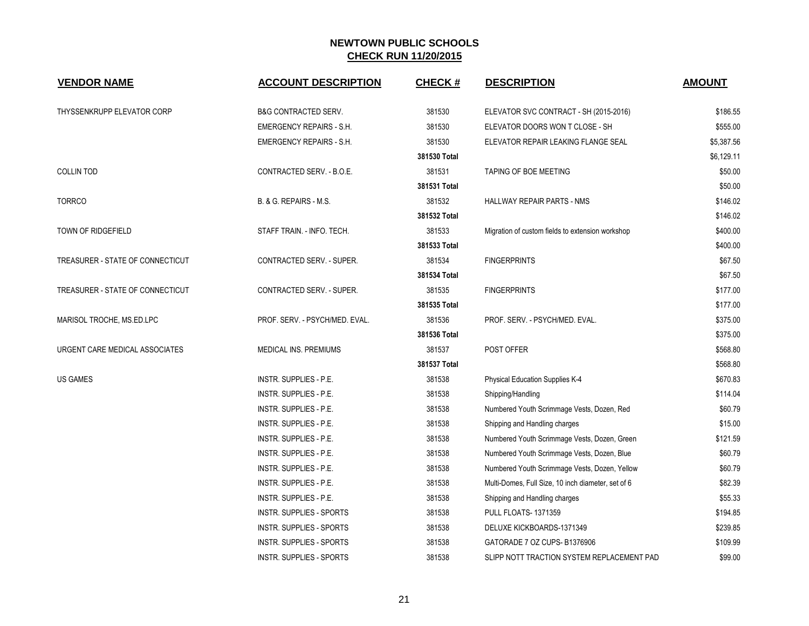| <b>VENDOR NAME</b>               | <b>ACCOUNT DESCRIPTION</b>      | <b>CHECK#</b> | <b>DESCRIPTION</b>                                 | <b>AMOUNT</b> |
|----------------------------------|---------------------------------|---------------|----------------------------------------------------|---------------|
| THYSSENKRUPP ELEVATOR CORP       | <b>B&amp;G CONTRACTED SERV.</b> | 381530        | ELEVATOR SVC CONTRACT - SH (2015-2016)             | \$186.55      |
|                                  | EMERGENCY REPAIRS - S.H.        | 381530        | ELEVATOR DOORS WON T CLOSE - SH                    | \$555.00      |
|                                  | EMERGENCY REPAIRS - S.H.        | 381530        | ELEVATOR REPAIR LEAKING FLANGE SEAL                | \$5,387.56    |
|                                  |                                 | 381530 Total  |                                                    | \$6,129.11    |
| <b>COLLIN TOD</b>                | CONTRACTED SERV. - B.O.E.       | 381531        | TAPING OF BOE MEETING                              | \$50.00       |
|                                  |                                 | 381531 Total  |                                                    | \$50.00       |
| <b>TORRCO</b>                    | B. & G. REPAIRS - M.S.          | 381532        | HALLWAY REPAIR PARTS - NMS                         | \$146.02      |
|                                  |                                 | 381532 Total  |                                                    | \$146.02      |
| <b>TOWN OF RIDGEFIELD</b>        | STAFF TRAIN. - INFO. TECH.      | 381533        | Migration of custom fields to extension workshop   | \$400.00      |
|                                  |                                 | 381533 Total  |                                                    | \$400.00      |
| TREASURER - STATE OF CONNECTICUT | CONTRACTED SERV. - SUPER.       | 381534        | <b>FINGERPRINTS</b>                                | \$67.50       |
|                                  |                                 | 381534 Total  |                                                    | \$67.50       |
| TREASURER - STATE OF CONNECTICUT | CONTRACTED SERV. - SUPER.       | 381535        | <b>FINGERPRINTS</b>                                | \$177.00      |
|                                  |                                 | 381535 Total  |                                                    | \$177.00      |
| MARISOL TROCHE, MS.ED.LPC        | PROF. SERV. - PSYCH/MED. EVAL.  | 381536        | PROF. SERV. - PSYCH/MED. EVAL.                     | \$375.00      |
|                                  |                                 | 381536 Total  |                                                    | \$375.00      |
| URGENT CARE MEDICAL ASSOCIATES   | MEDICAL INS. PREMIUMS           | 381537        | POST OFFER                                         | \$568.80      |
|                                  |                                 | 381537 Total  |                                                    | \$568.80      |
| <b>US GAMES</b>                  | INSTR. SUPPLIES - P.E.          | 381538        | Physical Education Supplies K-4                    | \$670.83      |
|                                  | INSTR. SUPPLIES - P.E.          | 381538        | Shipping/Handling                                  | \$114.04      |
|                                  | INSTR. SUPPLIES - P.E.          | 381538        | Numbered Youth Scrimmage Vests, Dozen, Red         | \$60.79       |
|                                  | INSTR. SUPPLIES - P.E.          | 381538        | Shipping and Handling charges                      | \$15.00       |
|                                  | INSTR. SUPPLIES - P.E.          | 381538        | Numbered Youth Scrimmage Vests, Dozen, Green       | \$121.59      |
|                                  | INSTR. SUPPLIES - P.E.          | 381538        | Numbered Youth Scrimmage Vests, Dozen, Blue        | \$60.79       |
|                                  | INSTR. SUPPLIES - P.E.          | 381538        | Numbered Youth Scrimmage Vests, Dozen, Yellow      | \$60.79       |
|                                  | INSTR. SUPPLIES - P.E.          | 381538        | Multi-Domes, Full Size, 10 inch diameter, set of 6 | \$82.39       |
|                                  | INSTR. SUPPLIES - P.E.          | 381538        | Shipping and Handling charges                      | \$55.33       |
|                                  | INSTR. SUPPLIES - SPORTS        | 381538        | <b>PULL FLOATS-1371359</b>                         | \$194.85      |
|                                  | <b>INSTR. SUPPLIES - SPORTS</b> | 381538        | DELUXE KICKBOARDS-1371349                          | \$239.85      |
|                                  | INSTR. SUPPLIES - SPORTS        | 381538        | GATORADE 7 OZ CUPS-B1376906                        | \$109.99      |
|                                  | INSTR. SUPPLIES - SPORTS        | 381538        | SLIPP NOTT TRACTION SYSTEM REPLACEMENT PAD         | \$99.00       |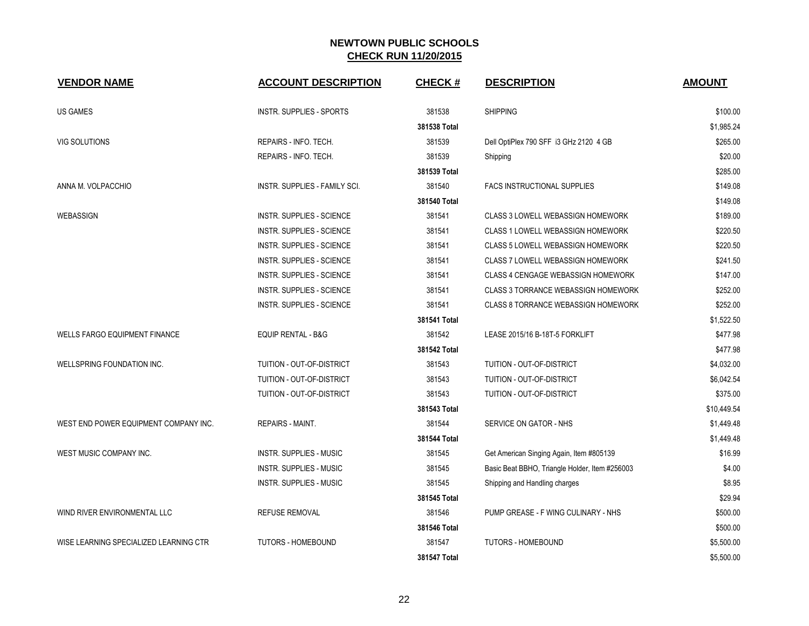| <b>VENDOR NAME</b>                     | <b>ACCOUNT DESCRIPTION</b>       | <b>CHECK#</b> | <b>DESCRIPTION</b>                             | <b>AMOUNT</b> |
|----------------------------------------|----------------------------------|---------------|------------------------------------------------|---------------|
| US GAMES                               | INSTR. SUPPLIES - SPORTS         | 381538        | <b>SHIPPING</b>                                | \$100.00      |
|                                        |                                  | 381538 Total  |                                                | \$1,985.24    |
| VIG SOLUTIONS                          | REPAIRS - INFO. TECH.            | 381539        | Dell OptiPlex 790 SFF i3 GHz 2120 4 GB         | \$265.00      |
|                                        | REPAIRS - INFO. TECH.            | 381539        | Shipping                                       | \$20.00       |
|                                        |                                  | 381539 Total  |                                                | \$285.00      |
| ANNA M. VOLPACCHIO                     | INSTR. SUPPLIES - FAMILY SCI.    | 381540        | FACS INSTRUCTIONAL SUPPLIES                    | \$149.08      |
|                                        |                                  | 381540 Total  |                                                | \$149.08      |
| WEBASSIGN                              | <b>INSTR. SUPPLIES - SCIENCE</b> | 381541        | CLASS 3 LOWELL WEBASSIGN HOMEWORK              | \$189.00      |
|                                        | <b>INSTR. SUPPLIES - SCIENCE</b> | 381541        | CLASS 1 LOWELL WEBASSIGN HOMEWORK              | \$220.50      |
|                                        | <b>INSTR. SUPPLIES - SCIENCE</b> | 381541        | CLASS 5 LOWELL WEBASSIGN HOMEWORK              | \$220.50      |
|                                        | INSTR. SUPPLIES - SCIENCE        | 381541        | <b>CLASS 7 LOWELL WEBASSIGN HOMEWORK</b>       | \$241.50      |
|                                        | INSTR. SUPPLIES - SCIENCE        | 381541        | CLASS 4 CENGAGE WEBASSIGN HOMEWORK             | \$147.00      |
|                                        | <b>INSTR. SUPPLIES - SCIENCE</b> | 381541        | <b>CLASS 3 TORRANCE WEBASSIGN HOMEWORK</b>     | \$252.00      |
|                                        | INSTR. SUPPLIES - SCIENCE        | 381541        | CLASS 8 TORRANCE WEBASSIGN HOMEWORK            | \$252.00      |
|                                        |                                  | 381541 Total  |                                                | \$1,522.50    |
| <b>WELLS FARGO EQUIPMENT FINANCE</b>   | <b>EQUIP RENTAL - B&amp;G</b>    | 381542        | LEASE 2015/16 B-18T-5 FORKLIFT                 | \$477.98      |
|                                        |                                  | 381542 Total  |                                                | \$477.98      |
| WELLSPRING FOUNDATION INC.             | TUITION - OUT-OF-DISTRICT        | 381543        | TUITION - OUT-OF-DISTRICT                      | \$4,032.00    |
|                                        | TUITION - OUT-OF-DISTRICT        | 381543        | TUITION - OUT-OF-DISTRICT                      | \$6,042.54    |
|                                        | TUITION - OUT-OF-DISTRICT        | 381543        | TUITION - OUT-OF-DISTRICT                      | \$375.00      |
|                                        |                                  | 381543 Total  |                                                | \$10,449.54   |
| WEST END POWER EQUIPMENT COMPANY INC.  | REPAIRS - MAINT.                 | 381544        | SERVICE ON GATOR - NHS                         | \$1,449.48    |
|                                        |                                  | 381544 Total  |                                                | \$1,449.48    |
| WEST MUSIC COMPANY INC.                | <b>INSTR. SUPPLIES - MUSIC</b>   | 381545        | Get American Singing Again, Item #805139       | \$16.99       |
|                                        | <b>INSTR. SUPPLIES - MUSIC</b>   | 381545        | Basic Beat BBHO, Triangle Holder, Item #256003 | \$4.00        |
|                                        | <b>INSTR. SUPPLIES - MUSIC</b>   | 381545        | Shipping and Handling charges                  | \$8.95        |
|                                        |                                  | 381545 Total  |                                                | \$29.94       |
| WIND RIVER ENVIRONMENTAL LLC           | <b>REFUSE REMOVAL</b>            | 381546        | PUMP GREASE - F WING CULINARY - NHS            | \$500.00      |
|                                        |                                  | 381546 Total  |                                                | \$500.00      |
| WISE LEARNING SPECIALIZED LEARNING CTR | TUTORS - HOMEBOUND               | 381547        | TUTORS - HOMEBOUND                             | \$5,500.00    |
|                                        |                                  | 381547 Total  |                                                | \$5,500.00    |